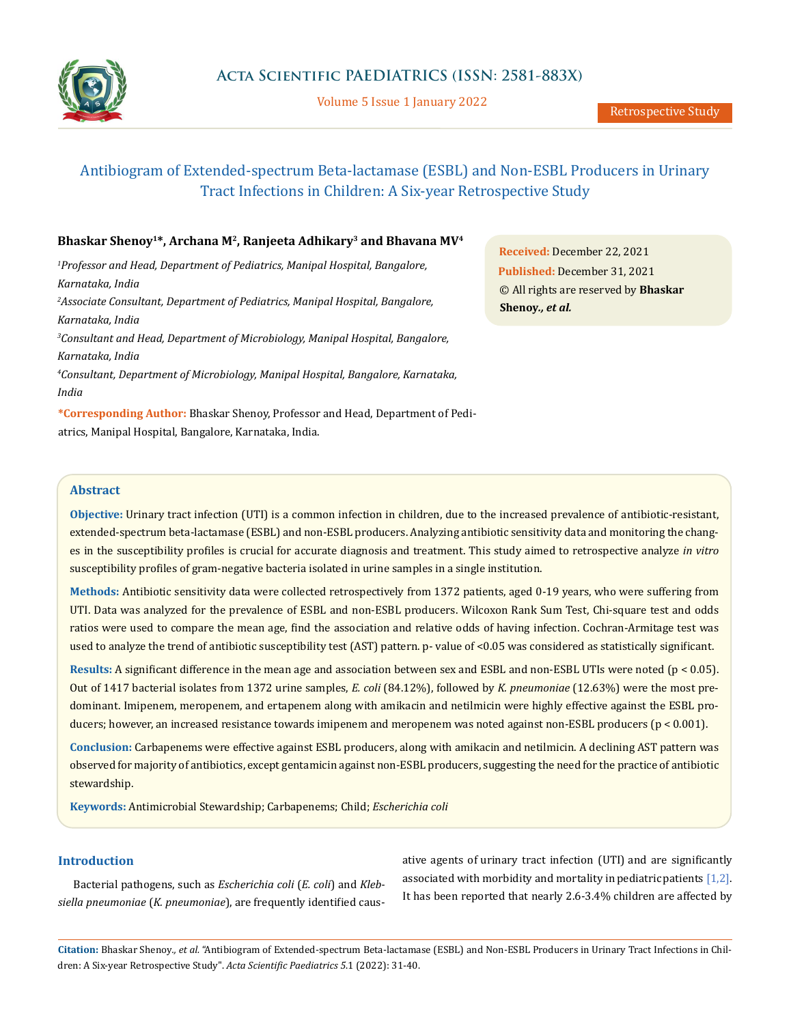

Volume 5 Issue 1 January 2022

# Antibiogram of Extended-spectrum Beta-lactamase (ESBL) and Non-ESBL Producers in Urinary Tract Infections in Children: A Six-year Retrospective Study

# Bhaskar Shenoy<sup>1\*</sup>, Archana M<sup>2</sup>, Ranjeeta Adhikary<sup>3</sup> and Bhavana MV<sup>4</sup>

*1 Professor and Head, Department of Pediatrics, Manipal Hospital, Bangalore, Karnataka, India 2 Associate Consultant, Department of Pediatrics, Manipal Hospital, Bangalore, Karnataka, India*

*3 Consultant and Head, Department of Microbiology, Manipal Hospital, Bangalore, Karnataka, India* 

*4 Consultant, Department of Microbiology, Manipal Hospital, Bangalore, Karnataka, India* 

**\*Corresponding Author:** Bhaskar Shenoy, Professor and Head, Department of Pediatrics, Manipal Hospital, Bangalore, Karnataka, India.

**Received:** December 22, 2021 **Published:** December 31, 2021 © All rights are reserved by **Bhaskar Shenoy***., et al.*

# **Abstract**

**Objective:** Urinary tract infection (UTI) is a common infection in children, due to the increased prevalence of antibiotic-resistant, extended-spectrum beta-lactamase (ESBL) and non-ESBL producers. Analyzing antibiotic sensitivity data and monitoring the changes in the susceptibility profiles is crucial for accurate diagnosis and treatment. This study aimed to retrospective analyze *in vitro* susceptibility profiles of gram-negative bacteria isolated in urine samples in a single institution.

**Methods:** Antibiotic sensitivity data were collected retrospectively from 1372 patients, aged 0-19 years, who were suffering from UTI. Data was analyzed for the prevalence of ESBL and non-ESBL producers. Wilcoxon Rank Sum Test, Chi-square test and odds ratios were used to compare the mean age, find the association and relative odds of having infection. Cochran-Armitage test was used to analyze the trend of antibiotic susceptibility test (AST) pattern. p- value of <0.05 was considered as statistically significant.

**Results:** A significant difference in the mean age and association between sex and ESBL and non-ESBL UTIs were noted (p < 0.05). Out of 1417 bacterial isolates from 1372 urine samples, *E. coli* (84.12%), followed by *K. pneumoniae* (12.63%) were the most predominant. Imipenem, meropenem, and ertapenem along with amikacin and netilmicin were highly effective against the ESBL producers; however, an increased resistance towards imipenem and meropenem was noted against non-ESBL producers (p < 0.001).

**Conclusion:** Carbapenems were effective against ESBL producers, along with amikacin and netilmicin. A declining AST pattern was observed for majority of antibiotics, except gentamicin against non-ESBL producers, suggesting the need for the practice of antibiotic stewardship.

**Keywords:** Antimicrobial Stewardship; Carbapenems; Child; *Escherichia coli*

# **Introduction**

Bacterial pathogens, such as *Escherichia coli* (*E. coli*) and *Klebsiella pneumoniae* (*K. pneumoniae*), are frequently identified causative agents of urinary tract infection (UTI) and are significantly associated with morbidity and mortality in pediatric patients  $[1,2]$ . It has been reported that nearly 2.6-3.4% children are affected by

**Citation:** Bhaskar Shenoy*., et al.* "Antibiogram of Extended-spectrum Beta-lactamase (ESBL) and Non-ESBL Producers in Urinary Tract Infections in Children: A Six-year Retrospective Study". *Acta Scientific Paediatrics 5*.1 (2022): 31-40.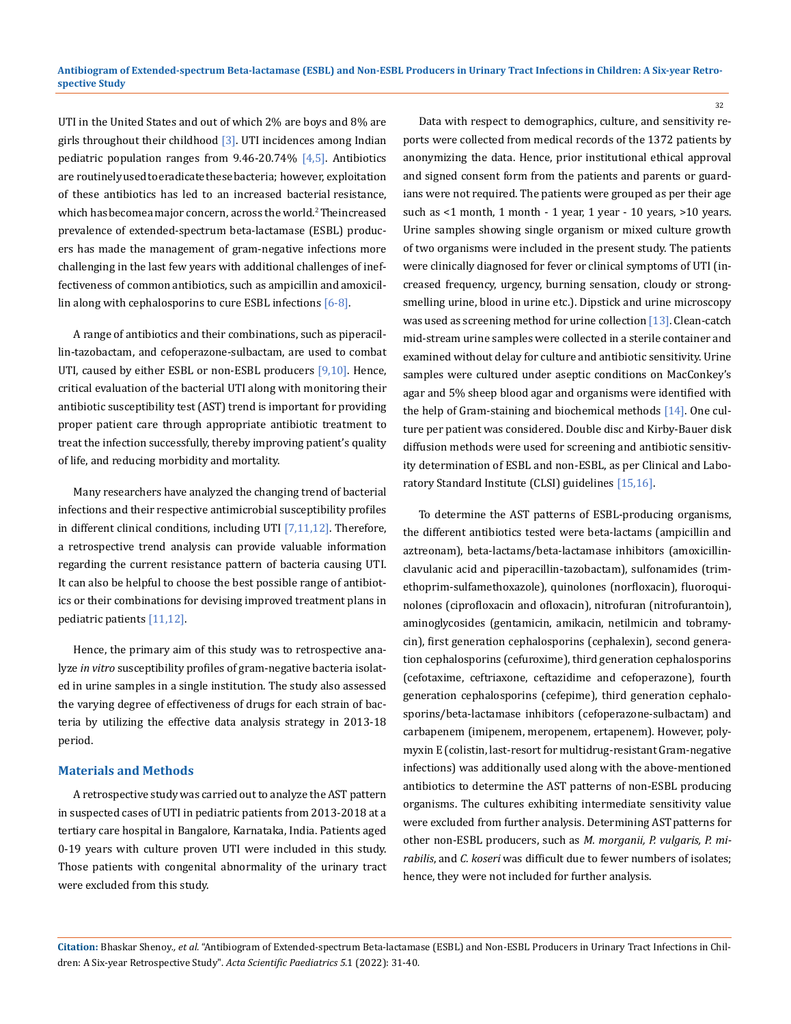UTI in the United States and out of which 2% are boys and 8% are girls throughout their childhood  $[3]$ . UTI incidences among Indian pediatric population ranges from  $9.46 - 20.74\%$  [4,5]. Antibiotics are routinely used to eradicate these bacteria; however, exploitation of these antibiotics has led to an increased bacterial resistance, which has become a major concern, across the world.<sup>2</sup> The increased prevalence of extended-spectrum beta-lactamase (ESBL) producers has made the management of gram-negative infections more challenging in the last few years with additional challenges of ineffectiveness of common antibiotics, such as ampicillin and amoxicillin along with cephalosporins to cure ESBL infections [6-8].

A range of antibiotics and their combinations, such as piperacillin-tazobactam, and cefoperazone-sulbactam, are used to combat UTI, caused by either ESBL or non-ESBL producers [9,10]. Hence, critical evaluation of the bacterial UTI along with monitoring their antibiotic susceptibility test (AST) trend is important for providing proper patient care through appropriate antibiotic treatment to treat the infection successfully, thereby improving patient's quality of life, and reducing morbidity and mortality.

Many researchers have analyzed the changing trend of bacterial infections and their respective antimicrobial susceptibility profiles in different clinical conditions, including UTI [7,11,12]. Therefore, a retrospective trend analysis can provide valuable information regarding the current resistance pattern of bacteria causing UTI. It can also be helpful to choose the best possible range of antibiotics or their combinations for devising improved treatment plans in pediatric patients [11,12].

Hence, the primary aim of this study was to retrospective analyze *in vitro* susceptibility profiles of gram-negative bacteria isolated in urine samples in a single institution. The study also assessed the varying degree of effectiveness of drugs for each strain of bacteria by utilizing the effective data analysis strategy in 2013-18 period.

#### **Materials and Methods**

A retrospective study was carried out to analyze the AST pattern in suspected cases of UTI in pediatric patients from 2013-2018 at a tertiary care hospital in Bangalore, Karnataka, India. Patients aged 0-19 years with culture proven UTI were included in this study. Those patients with congenital abnormality of the urinary tract were excluded from this study.

Data with respect to demographics, culture, and sensitivity reports were collected from medical records of the 1372 patients by anonymizing the data. Hence, prior institutional ethical approval and signed consent form from the patients and parents or guardians were not required. The patients were grouped as per their age such as <1 month, 1 month - 1 year, 1 year - 10 years, >10 years. Urine samples showing single organism or mixed culture growth of two organisms were included in the present study. The patients were clinically diagnosed for fever or clinical symptoms of UTI (increased frequency, urgency, burning sensation, cloudy or strongsmelling urine, blood in urine etc.). Dipstick and urine microscopy was used as screening method for urine collection [13]. Clean-catch mid-stream urine samples were collected in a sterile container and examined without delay for culture and antibiotic sensitivity. Urine samples were cultured under aseptic conditions on MacConkey's agar and 5% sheep blood agar and organisms were identified with the help of Gram-staining and biochemical methods [14]. One culture per patient was considered. Double disc and Kirby-Bauer disk diffusion methods were used for screening and antibiotic sensitivity determination of ESBL and non-ESBL, as per Clinical and Laboratory Standard Institute (CLSI) guidelines [15,16].

To determine the AST patterns of ESBL-producing organisms, the different antibiotics tested were beta-lactams (ampicillin and aztreonam), beta-lactams/beta-lactamase inhibitors (amoxicillinclavulanic acid and piperacillin-tazobactam), sulfonamides (trimethoprim-sulfamethoxazole), quinolones (norfloxacin), fluoroquinolones (ciprofloxacin and ofloxacin), nitrofuran (nitrofurantoin), aminoglycosides (gentamicin, amikacin, netilmicin and tobramycin), first generation cephalosporins (cephalexin), second generation cephalosporins (cefuroxime), third generation cephalosporins (cefotaxime, ceftriaxone, ceftazidime and cefoperazone), fourth generation cephalosporins (cefepime), third generation cephalosporins/beta-lactamase inhibitors (cefoperazone-sulbactam) and carbapenem (imipenem, meropenem, ertapenem). However, polymyxin E (colistin, last-resort for multidrug-resistant Gram-negative infections) was additionally used along with the above-mentioned antibiotics to determine the AST patterns of non-ESBL producing organisms. The cultures exhibiting intermediate sensitivity value were excluded from further analysis. Determining AST patterns for other non-ESBL producers, such as *M. morganii, P. vulgaris, P. mirabilis*, and *C. koseri* was difficult due to fewer numbers of isolates; hence, they were not included for further analysis.

**Citation:** Bhaskar Shenoy*., et al.* "Antibiogram of Extended-spectrum Beta-lactamase (ESBL) and Non-ESBL Producers in Urinary Tract Infections in Children: A Six-year Retrospective Study". *Acta Scientific Paediatrics 5*.1 (2022): 31-40.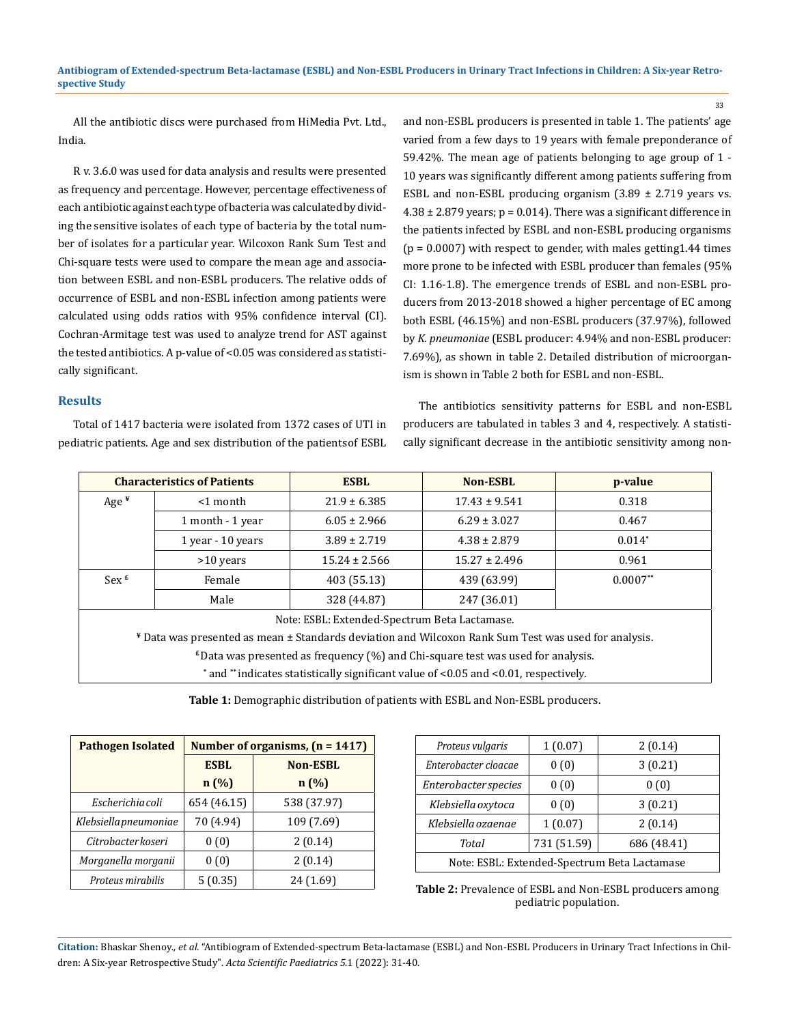All the antibiotic discs were purchased from HiMedia Pvt. Ltd., India.

R v. 3.6.0 was used for data analysis and results were presented as frequency and percentage. However, percentage effectiveness of each antibiotic against each type of bacteria was calculated by dividing the sensitive isolates of each type of bacteria by the total number of isolates for a particular year. Wilcoxon Rank Sum Test and Chi-square tests were used to compare the mean age and association between ESBL and non-ESBL producers. The relative odds of occurrence of ESBL and non-ESBL infection among patients were calculated using odds ratios with 95% confidence interval (CI). Cochran-Armitage test was used to analyze trend for AST against the tested antibiotics. A p-value of <0.05 was considered as statistically significant.

#### **Results**

Total of 1417 bacteria were isolated from 1372 cases of UTI in pediatric patients. Age and sex distribution of the patients of ESBL and non-ESBL producers is presented in table 1. The patients' age varied from a few days to 19 years with female preponderance of 59.42%. The mean age of patients belonging to age group of 1 - 10 years was significantly different among patients suffering from ESBL and non-ESBL producing organism  $(3.89 \pm 2.719)$  years vs.  $4.38 \pm 2.879$  years;  $p = 0.014$ ). There was a significant difference in the patients infected by ESBL and non-ESBL producing organisms  $(p = 0.0007)$  with respect to gender, with males getting 1.44 times more prone to be infected with ESBL producer than females (95% CI: 1.16-1.8). The emergence trends of ESBL and non-ESBL producers from 2013-2018 showed a higher percentage of EC among both ESBL (46.15%) and non-ESBL producers (37.97%), followed by *K. pneumoniae* (ESBL producer: 4.94% and non-ESBL producer: 7.69%), as shown in table 2. Detailed distribution of microorganism is shown in Table 2 both for ESBL and non-ESBL.

The antibiotics sensitivity patterns for ESBL and non-ESBL producers are tabulated in tables 3 and 4, respectively. A statistically significant decrease in the antibiotic sensitivity among non-

|                    | <b>Characteristics of Patients</b>                                                                   | <b>ESBL</b>                                   | <b>Non-ESBL</b>                                                                           | p-value    |  |  |  |
|--------------------|------------------------------------------------------------------------------------------------------|-----------------------------------------------|-------------------------------------------------------------------------------------------|------------|--|--|--|
| Age $*$            | $<$ 1 month                                                                                          | $21.9 \pm 6.385$                              | 0.318                                                                                     |            |  |  |  |
|                    | 1 month - 1 year                                                                                     | $6.05 \pm 2.966$                              | $6.29 \pm 3.027$                                                                          | 0.467      |  |  |  |
|                    | 1 year - 10 years                                                                                    | $3.89 \pm 2.719$                              | $4.38 \pm 2.879$                                                                          | $0.014*$   |  |  |  |
|                    | $>10$ years                                                                                          | $15.24 \pm 2.566$                             | $15.27 \pm 2.496$                                                                         | 0.961      |  |  |  |
| $Sex$ <sup>£</sup> | Female                                                                                               | 403 (55.13)                                   | 439 (63.99)                                                                               | $0.0007**$ |  |  |  |
|                    | Male                                                                                                 | 328 (44.87)                                   |                                                                                           |            |  |  |  |
|                    |                                                                                                      | Note: ESBL: Extended-Spectrum Beta Lactamase. |                                                                                           |            |  |  |  |
|                    | * Data was presented as mean ± Standards deviation and Wilcoxon Rank Sum Test was used for analysis. |                                               |                                                                                           |            |  |  |  |
|                    |                                                                                                      |                                               | $\epsilon$ Data was presented as frequency (%) and Chi-square test was used for analysis. |            |  |  |  |

**\*** and **\*\*** indicates statistically significant value of <0.05 and <0.01, respectively.

**Table 1:** Demographic distribution of patients with ESBL and Non-ESBL producers.

| <b>Pathogen Isolated</b> |             | Number of organisms, $(n = 1417)$ |
|--------------------------|-------------|-----------------------------------|
|                          | <b>ESBL</b> | <b>Non-ESBL</b>                   |
|                          | n(%)        | n(%)                              |
| Escherichia coli         | 654 (46.15) | 538 (37.97)                       |
| Klebsiella pneumoniae    | 70 (4.94)   | 109 (7.69)                        |
| Citrobacter koseri       | 0(0)        | 2(0.14)                           |
| Morganella morganii      | 0(0)        | 2(0.14)                           |
| Proteus mirabilis        | 5(0.35)     | 24 (1.69)                         |

| Proteus vulgaris                             | 1(0.07) | 2(0.14) |  |  |  |  |  |  |  |  |
|----------------------------------------------|---------|---------|--|--|--|--|--|--|--|--|
| Enterobacter cloacae                         | 0(0)    | 3(0.21) |  |  |  |  |  |  |  |  |
| Enterobacter species                         | 0(0)    | 0(0)    |  |  |  |  |  |  |  |  |
| Klebsiella oxytoca                           | 0(0)    | 3(0.21) |  |  |  |  |  |  |  |  |
| Klebsiella ozaenae                           | 1(0.07) | 2(0.14) |  |  |  |  |  |  |  |  |
| 731 (51.59)<br>686 (48.41)<br>Total          |         |         |  |  |  |  |  |  |  |  |
| Note: ESBL: Extended-Spectrum Beta Lactamase |         |         |  |  |  |  |  |  |  |  |

**Table 2:** Prevalence of ESBL and Non-ESBL producers among pediatric population.

**Citation:** Bhaskar Shenoy*., et al.* "Antibiogram of Extended-spectrum Beta-lactamase (ESBL) and Non-ESBL Producers in Urinary Tract Infections in Children: A Six-year Retrospective Study". *Acta Scientific Paediatrics 5*.1 (2022): 31-40.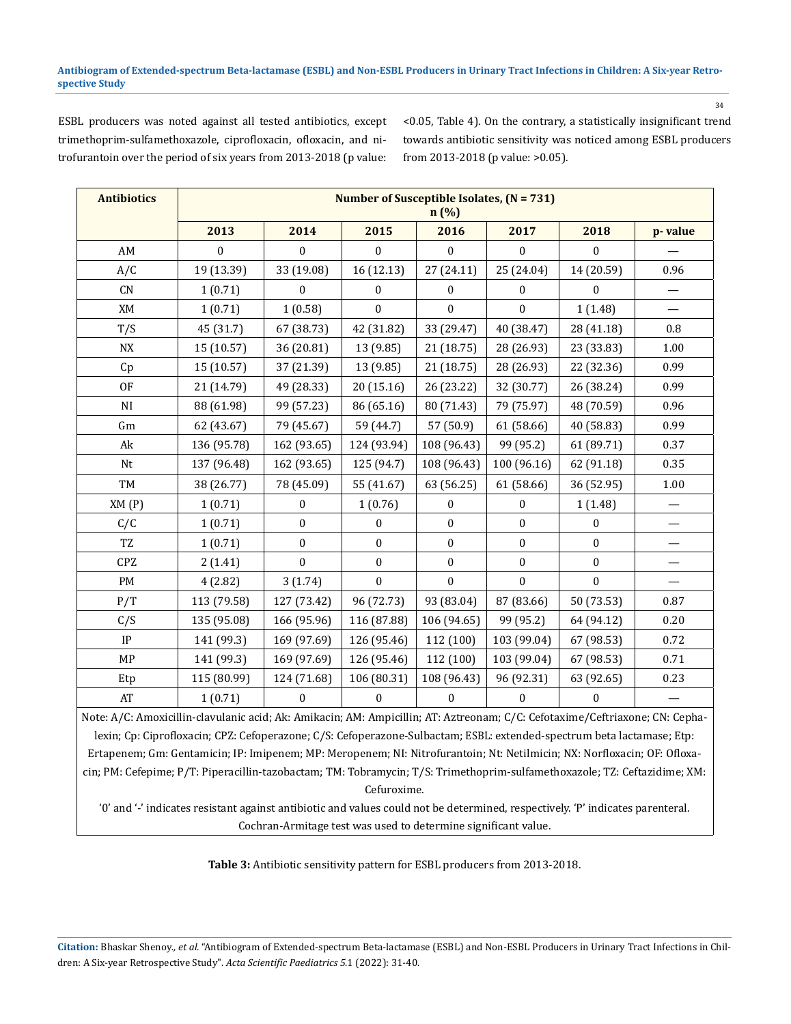ESBL producers was noted against all tested antibiotics, except trimethoprim-sulfamethoxazole, ciprofloxacin, ofloxacin, and nitrofurantoin over the period of six years from 2013-2018 (p value: <0.05, Table 4). On the contrary, a statistically insignificant trend towards antibiotic sensitivity was noticed among ESBL producers from 2013-2018 (p value: >0.05).

| <b>Antibiotics</b>                                                                                                                                                                                                                                       | Number of Susceptible Isolates, $(N = 731)$<br>n(%)                                                                    |                  |                  |                  |                  |                  |                          |  |  |  |  |  |  |  |
|----------------------------------------------------------------------------------------------------------------------------------------------------------------------------------------------------------------------------------------------------------|------------------------------------------------------------------------------------------------------------------------|------------------|------------------|------------------|------------------|------------------|--------------------------|--|--|--|--|--|--|--|
|                                                                                                                                                                                                                                                          | 2013                                                                                                                   | 2014             | 2015             | 2016             | 2017             | 2018             | p-value                  |  |  |  |  |  |  |  |
| AM                                                                                                                                                                                                                                                       | $\mathbf{0}$                                                                                                           | $\mathbf{0}$     | $\boldsymbol{0}$ | $\boldsymbol{0}$ | $\boldsymbol{0}$ | 0                |                          |  |  |  |  |  |  |  |
| A/C                                                                                                                                                                                                                                                      | 19 (13.39)                                                                                                             | 33 (19.08)       | 16 (12.13)       | 27 (24.11)       | 25 (24.04)       | 14 (20.59)       | 0.96                     |  |  |  |  |  |  |  |
| CN                                                                                                                                                                                                                                                       | 1(0.71)                                                                                                                | $\boldsymbol{0}$ | $\mathbf{0}$     | $\mathbf{0}$     | $\boldsymbol{0}$ | $\boldsymbol{0}$ |                          |  |  |  |  |  |  |  |
| XM                                                                                                                                                                                                                                                       | 1(0.71)                                                                                                                | 1(0.58)          | $\mathbf{0}$     | $\boldsymbol{0}$ | $\boldsymbol{0}$ | 1(1.48)          | $\overline{\phantom{0}}$ |  |  |  |  |  |  |  |
| T/S                                                                                                                                                                                                                                                      | 45 (31.7)                                                                                                              | 67 (38.73)       | 42 (31.82)       | 33 (29.47)       | 40 (38.47)       | 28 (41.18)       | 0.8                      |  |  |  |  |  |  |  |
| <b>NX</b>                                                                                                                                                                                                                                                | 15 (10.57)                                                                                                             | 36 (20.81)       | 13 (9.85)        | 21 (18.75)       | 28 (26.93)       | 23 (33.83)       | 1.00                     |  |  |  |  |  |  |  |
| Cp                                                                                                                                                                                                                                                       | 15 (10.57)                                                                                                             | 37 (21.39)       | 13 (9.85)        | 21 (18.75)       | 28 (26.93)       | 22 (32.36)       | 0.99                     |  |  |  |  |  |  |  |
| 0F                                                                                                                                                                                                                                                       | 21 (14.79)                                                                                                             | 49 (28.33)       | 20 (15.16)       | 26 (23.22)       | 32 (30.77)       | 26 (38.24)       | 0.99                     |  |  |  |  |  |  |  |
| NI                                                                                                                                                                                                                                                       | 88 (61.98)                                                                                                             | 99 (57.23)       | 86 (65.16)       | 80 (71.43)       | 79 (75.97)       | 48 (70.59)       | 0.96                     |  |  |  |  |  |  |  |
| Gm                                                                                                                                                                                                                                                       | 62 (43.67)                                                                                                             | 79 (45.67)       | 59 (44.7)        | 57 (50.9)        | 61 (58.66)       | 40 (58.83)       | 0.99                     |  |  |  |  |  |  |  |
| Ak                                                                                                                                                                                                                                                       | 136 (95.78)                                                                                                            | 162 (93.65)      | 124 (93.94)      | 108 (96.43)      | 99 (95.2)        | 61 (89.71)       | 0.37                     |  |  |  |  |  |  |  |
| Nt                                                                                                                                                                                                                                                       | 137 (96.48)                                                                                                            | 162 (93.65)      | 125 (94.7)       | 108 (96.43)      | 100 (96.16)      | 62 (91.18)       | 0.35                     |  |  |  |  |  |  |  |
| TM                                                                                                                                                                                                                                                       | 38 (26.77)                                                                                                             | 78 (45.09)       | 55 (41.67)       | 63 (56.25)       | 61 (58.66)       | 36 (52.95)       | 1.00                     |  |  |  |  |  |  |  |
| XM(P)                                                                                                                                                                                                                                                    | 1(0.71)                                                                                                                | 0                | 1(0.76)          | 0                | 0                | 1(1.48)          | $\overline{\phantom{0}}$ |  |  |  |  |  |  |  |
| C/C                                                                                                                                                                                                                                                      | 1(0.71)                                                                                                                | $\boldsymbol{0}$ | $\boldsymbol{0}$ | $\boldsymbol{0}$ | $\boldsymbol{0}$ | 0                |                          |  |  |  |  |  |  |  |
| TZ                                                                                                                                                                                                                                                       | 1(0.71)                                                                                                                | $\boldsymbol{0}$ | $\boldsymbol{0}$ | $\boldsymbol{0}$ | $\boldsymbol{0}$ | $\boldsymbol{0}$ |                          |  |  |  |  |  |  |  |
| CPZ                                                                                                                                                                                                                                                      | 2(1.41)                                                                                                                | $\mathbf{0}$     | $\mathbf{0}$     | $\boldsymbol{0}$ | $\mathbf{0}$     | $\boldsymbol{0}$ |                          |  |  |  |  |  |  |  |
| PM                                                                                                                                                                                                                                                       | 4(2.82)                                                                                                                | 3(1.74)          | $\Omega$         | $\Omega$         | $\theta$         | $\Omega$         |                          |  |  |  |  |  |  |  |
| P/T                                                                                                                                                                                                                                                      | 113 (79.58)                                                                                                            | 127 (73.42)      | 96 (72.73)       | 93 (83.04)       | 87 (83.66)       | 50 (73.53)       | 0.87                     |  |  |  |  |  |  |  |
| C/S                                                                                                                                                                                                                                                      | 135 (95.08)                                                                                                            | 166 (95.96)      | 116 (87.88)      | 106 (94.65)      | 99 (95.2)        | 64 (94.12)       | 0.20                     |  |  |  |  |  |  |  |
| IP                                                                                                                                                                                                                                                       | 141 (99.3)                                                                                                             | 169 (97.69)      | 126 (95.46)      | 112 (100)        | 103 (99.04)      | 67 (98.53)       | 0.72                     |  |  |  |  |  |  |  |
| MP                                                                                                                                                                                                                                                       | 141 (99.3)                                                                                                             | 169 (97.69)      | 126 (95.46)      | 112 (100)        | 103 (99.04)      | 67 (98.53)       | 0.71                     |  |  |  |  |  |  |  |
| Etp                                                                                                                                                                                                                                                      | 115 (80.99)                                                                                                            | 124 (71.68)      | 106 (80.31)      | 108 (96.43)      | 96 (92.31)       | 63 (92.65)       | 0.23                     |  |  |  |  |  |  |  |
| AT                                                                                                                                                                                                                                                       | 1(0.71)                                                                                                                | $\Omega$         | $\theta$         | $\Omega$         | $\Omega$         | $\Omega$         |                          |  |  |  |  |  |  |  |
| Note: A/C: Amoxicillin-clavulanic acid; Ak: Amikacin; AM: Ampicillin; AT: Aztreonam; C/C: Cefotaxime/Ceftriaxone; CN: Cepha-<br>Ertapenem; Gm: Gentamicin; IP: Imipenem; MP: Meropenem; NI: Nitrofurantoin; Nt: Netilmicin; NX: Norfloxacin; OF: Ofloxa- | lexin; Cp: Ciprofloxacin; CPZ: Cefoperazone; C/S: Cefoperazone-Sulbactam; ESBL: extended-spectrum beta lactamase; Etp: |                  |                  |                  |                  |                  |                          |  |  |  |  |  |  |  |

cin; PM: Cefepime; P/T: Piperacillin-tazobactam; TM: Tobramycin; T/S: Trimethoprim-sulfamethoxazole; TZ: Ceftazidime; XM: Cefuroxime.

'0' and '-' indicates resistant against antibiotic and values could not be determined, respectively. 'P' indicates parenteral. Cochran-Armitage test was used to determine significant value.

**Table 3:** Antibiotic sensitivity pattern for ESBL producers from 2013-2018.

**Citation:** Bhaskar Shenoy*., et al.* "Antibiogram of Extended-spectrum Beta-lactamase (ESBL) and Non-ESBL Producers in Urinary Tract Infections in Children: A Six-year Retrospective Study". *Acta Scientific Paediatrics 5*.1 (2022): 31-40.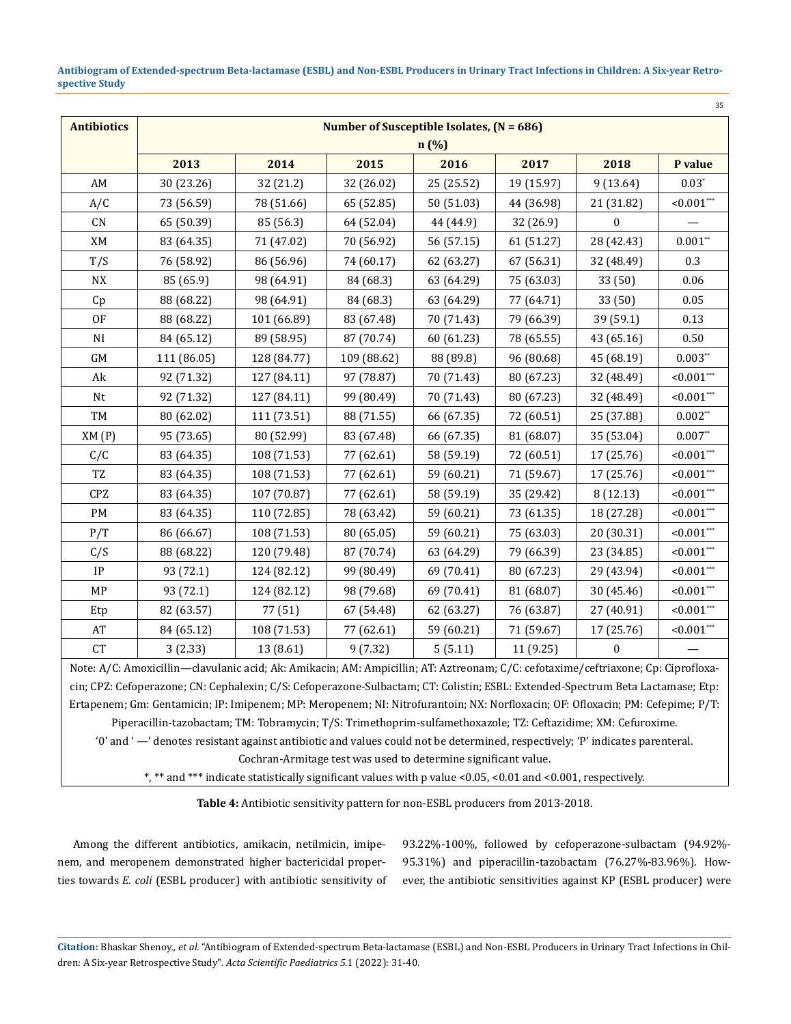**Antibiogram of Extended-spectrum Beta-lactamase (ESBL) and Non-ESBL Producers in Urinary Tract Infections in Children: A Six-year Retrospective Study**

|                    |             |             |                                             |            |            |                  | 35               |  |
|--------------------|-------------|-------------|---------------------------------------------|------------|------------|------------------|------------------|--|
| <b>Antibiotics</b> |             |             | Number of Susceptible Isolates, $(N = 686)$ |            |            |                  |                  |  |
|                    |             |             |                                             | $n(\%)$    |            |                  |                  |  |
|                    | 2013        | 2014        | 2015                                        | 2016       | 2017       | 2018             | P value          |  |
| AM                 | 30 (23.26)  | 32 (21.2)   | 32 (26.02)                                  | 25 (25.52) | 19 (15.97) | 9(13.64)         | $0.03*$          |  |
| A/C                | 73 (56.59)  | 78 (51.66)  | 65 (52.85)                                  | 50 (51.03) | 44 (36.98) | 21 (31.82)       | $0.001***$       |  |
| CN                 | 65 (50.39)  | 85 (56.3)   | 64 (52.04)                                  | 44 (44.9)  | 32 (26.9)  | $\boldsymbol{0}$ |                  |  |
| XM                 | 83 (64.35)  | 71 (47.02)  | 70 (56.92)                                  | 56 (57.15) | 61 (51.27) | 28 (42.43)       | $0.001**$        |  |
| T/S                | 76 (58.92)  | 86 (56.96)  | 74 (60.17)                                  | 62 (63.27) | 67 (56.31) | 32 (48.49)       | 0.3              |  |
| ${\rm N}{\rm X}$   | 85 (65.9)   | 98 (64.91)  | 84 (68.3)                                   | 63 (64.29) | 75 (63.03) | 33 (50)          | 0.06             |  |
| Cp                 | 88 (68.22)  | 98 (64.91)  | 84 (68.3)                                   | 63 (64.29) | 77 (64.71) | 33 (50)          | 0.05             |  |
| OF                 | 88 (68.22)  | 101 (66.89) | 83 (67.48)                                  | 70 (71.43) | 79 (66.39) | 39 (59.1)        | 0.13             |  |
| NI                 | 84 (65.12)  | 89 (58.95)  | 87 (70.74)                                  | 60 (61.23) | 78 (65.55) | 43 (65.16)       | 0.50             |  |
| GM                 | 111 (86.05) | 128 (84.77) | 109 (88.62)                                 | 88 (89.8)  | 96 (80.68) | 45 (68.19)       | $0.003**$        |  |
| Ak                 | 92 (71.32)  | 127 (84.11) | 97 (78.87)                                  | 70 (71.43) | 80 (67.23) | 32 (48.49)       | ${<}0.001^{***}$ |  |
| Nt                 | 92 (71.32)  | 127 (84.11) | 99 (80.49)                                  | 70 (71.43) | 80 (67.23) | 32 (48.49)       | $< 0.001***$     |  |
| TM                 | 80 (62.02)  | 111 (73.51) | 88 (71.55)                                  | 66 (67.35) | 72 (60.51) | 25 (37.88)       | $0.002**$        |  |
| XM(P)              | 95 (73.65)  | 80 (52.99)  | 83 (67.48)                                  | 66 (67.35) | 81 (68.07) | 35 (53.04)       | $0.007**$        |  |
| C/C                | 83 (64.35)  | 108 (71.53) | 77 (62.61)                                  | 58 (59.19) | 72 (60.51) | 17 (25.76)       | $< 0.001***$     |  |
| TZ                 | 83 (64.35)  | 108 (71.53) | 77 (62.61)                                  | 59 (60.21) | 71 (59.67) | 17 (25.76)       | $0.001***$       |  |
| CPZ                | 83 (64.35)  | 107 (70.87) | 77 (62.61)                                  | 58 (59.19) | 35 (29.42) | 8 (12.13)        | $< 0.001***$     |  |
| PM                 | 83 (64.35)  | 110 (72.85) | 78 (63.42)                                  | 59 (60.21) | 73 (61.35) | 18 (27.28)       | $< 0.001***$     |  |
| P/T                | 86 (66.67)  | 108 (71.53) | 80 (65.05)                                  | 59 (60.21) | 75 (63.03) | 20 (30.31)       | $< 0.001***$     |  |
| C/S                | 88 (68.22)  | 120 (79.48) | 87 (70.74)                                  | 63 (64.29) | 79 (66.39) | 23 (34.85)       | $< 0.001***$     |  |
| IP                 | 93 (72.1)   | 124 (82.12) | 99 (80.49)                                  | 69 (70.41) | 80 (67.23) | 29 (43.94)       | $< 0.001$ ***    |  |
| MP                 | 93 (72.1)   | 124 (82.12) | 98 (79.68)                                  | 69 (70.41) | 81 (68.07) | 30 (45.46)       | $< 0.001$ ***    |  |
| Etp                | 82 (63.57)  | 77 (51)     | 67 (54.48)                                  | 62 (63.27) | 76 (63.87) | 27 (40.91)       | $< 0.001***$     |  |
| AT                 | 84 (65.12)  | 108 (71.53) | 77 (62.61)                                  | 59 (60.21) | 71 (59.67) | 17 (25.76)       | $< 0.001***$     |  |
| CT                 | 3(2.33)     | 13 (8.61)   | 9(7.32)                                     | 5(5.11)    | 11 (9.25)  | $\boldsymbol{0}$ |                  |  |

Note: A/C: Amoxicillin—clavulanic acid; Ak: Amikacin; AM: Ampicillin; AT: Aztreonam; C/C: cefotaxime/ceftriaxone; Cp: Ciprofloxacin; CPZ: Cefoperazone; CN: Cephalexin; C/S: Cefoperazone-Sulbactam; CT: Colistin; ESBL: Extended-Spectrum Beta Lactamase; Etp: Ertapenem; Gm: Gentamicin; IP: Imipenem; MP: Meropenem; NI: Nitrofurantoin; NX: Norfloxacin; OF: Ofloxacin; PM: Cefepime; P/T: Piperacillin-tazobactam; TM: Tobramycin; T/S: Trimethoprim-sulfamethoxazole; TZ: Ceftazidime; XM: Cefuroxime.

'0' and ' —' denotes resistant against antibiotic and values could not be determined, respectively; 'P' indicates parenteral.

Cochran-Armitage test was used to determine significant value.

\*, \*\* and \*\*\* indicate statistically significant values with p value <0.05, <0.01 and <0.001, respectively.

**Table 4:** Antibiotic sensitivity pattern for non-ESBL producers from 2013-2018.

Among the different antibiotics, amikacin, netilmicin, imipenem, and meropenem demonstrated higher bactericidal properties towards *E. coli* (ESBL producer) with antibiotic sensitivity of 93.22%-100%, followed by cefoperazone-sulbactam (94.92%- 95.31%) and piperacillin-tazobactam (76.27%-83.96%). However, the antibiotic sensitivities against KP (ESBL producer) were

**Citation:** Bhaskar Shenoy*., et al.* "Antibiogram of Extended-spectrum Beta-lactamase (ESBL) and Non-ESBL Producers in Urinary Tract Infections in Children: A Six-year Retrospective Study". *Acta Scientific Paediatrics 5*.1 (2022): 31-40.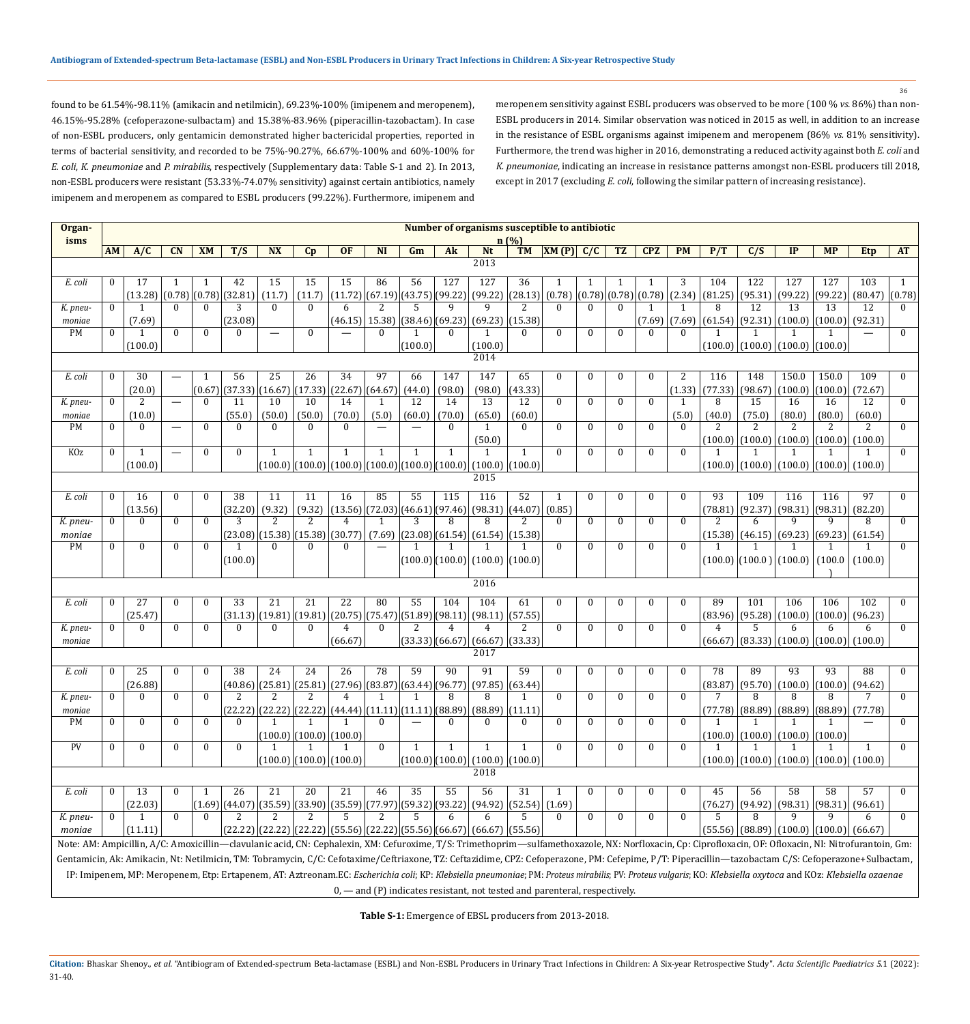found to be 61.54%-98.11% (amikacin and netilmicin), 69.23%-100% (imipenem and meropenem), 46.15%-95.28% (cefoperazone-sulbactam) and 15.38%-83.96% (piperacillin-tazobactam). In case of non-ESBL producers, only gentamicin demonstrated higher bactericidal properties, reported in terms of bacterial sensitivity, and recorded to be 75%-90.27%, 66.67%-100% and 60%-100% for *E. coli*, *K. pneumoniae* and *P. mirabilis*, respectively (Supplementary data: Table S-1 and 2)*.* In 2013, non-ESBL producers were resistant (53.33%-74.07% sensitivity) against certain antibiotics, namely imipenem and meropenem as compared to ESBL producers (99.22%). Furthermore, imipenem and meropenem sensitivity against ESBL producers was observed to be more (100 % *vs.* 86%) than non-ESBL producers in 2014. Similar observation was noticed in 2015 as well, in addition to an increase in the resistance of ESBL organisms against imipenem and meropenem (86% *vs.* 81% sensitivity). Furthermore, the trend was higher in 2016, demonstrating a reduced activity against both *E. coli* and *K. pneumoniae*, indicating an increase in resistance patterns amongst non-ESBL producers till 2018, except in 2017 (excluding *E. coli*, following the similar pattern of increasing resistance).

| Organ-                                                                                                                                                                                                 |                                                                                                                                                        | Number of organisms susceptible to antibiotic<br>n(%)                                                                                                                                                       |                          |                    |                       |                   |                 |                                                                                           |              |                         |              |                                                                                 |               |                                         |              |              |              |                    |                   |                                                   |        |                           |                                           |                  |
|--------------------------------------------------------------------------------------------------------------------------------------------------------------------------------------------------------|--------------------------------------------------------------------------------------------------------------------------------------------------------|-------------------------------------------------------------------------------------------------------------------------------------------------------------------------------------------------------------|--------------------------|--------------------|-----------------------|-------------------|-----------------|-------------------------------------------------------------------------------------------|--------------|-------------------------|--------------|---------------------------------------------------------------------------------|---------------|-----------------------------------------|--------------|--------------|--------------|--------------------|-------------------|---------------------------------------------------|--------|---------------------------|-------------------------------------------|------------------|
| isms                                                                                                                                                                                                   | <b>AM</b>                                                                                                                                              | A/C                                                                                                                                                                                                         | CN                       | <b>XM</b>          | T/S                   | <b>NX</b>         |                 | <b>OF</b>                                                                                 | <b>NI</b>    | Gm                      | Ak           |                                                                                 |               |                                         |              | TZ           | <b>CPZ</b>   | <b>PM</b>          | P/T               | C/S                                               | IP     | <b>MP</b>                 | Etp                                       | <b>AT</b>        |
|                                                                                                                                                                                                        |                                                                                                                                                        |                                                                                                                                                                                                             |                          |                    |                       |                   | Cp              |                                                                                           |              |                         |              | Nt<br>2013                                                                      |               | $TM$ $\left  \text{XM (P)} \right $ C/C |              |              |              |                    |                   |                                                   |        |                           |                                           |                  |
|                                                                                                                                                                                                        |                                                                                                                                                        |                                                                                                                                                                                                             |                          |                    |                       |                   |                 |                                                                                           |              |                         |              |                                                                                 |               |                                         |              |              |              |                    |                   |                                                   |        |                           |                                           |                  |
| E. coli                                                                                                                                                                                                | $\mathbf{0}$                                                                                                                                           | 17                                                                                                                                                                                                          |                          | $\mathbf{1}$       | 42                    | 15                | 15              | 15                                                                                        | 86           | 56                      | 127          | 127                                                                             | 36            | 1                                       | 1            | $\mathbf{1}$ |              | 3                  | 104               | 122                                               | 127    | 127                       | 103                                       | 1                |
|                                                                                                                                                                                                        |                                                                                                                                                        | (13.28)                                                                                                                                                                                                     |                          |                    | (0.78) (0.78) (32.81) | (11.7)            | (11.7)          |                                                                                           |              |                         |              | $(11.72)$ $(67.19)$ $(43.75)$ $(99.22)$ $(99.22)$ $(28.13)$ $(0.78)$            |               |                                         | (0.78)(0.78) |              | (0.78)       | (2.34)             | $(81.25)$ (95.31) |                                                   |        | $(99.22)$ (99.22)         | (80.47)                                   | (0.78)           |
| K. pneu-                                                                                                                                                                                               | $\theta$                                                                                                                                               |                                                                                                                                                                                                             | $\mathbf{0}$             | $\theta$           | 3                     | $\Omega$          | $\Omega$        | 6                                                                                         | 2            | 5                       | $\mathbf{q}$ | 9                                                                               | 2             | $\theta$                                | $\Omega$     | $\Omega$     |              |                    | 8                 | 12                                                | 13     | 13                        | 12                                        | $\mathbf{0}$     |
| moniae<br>PM                                                                                                                                                                                           | $\theta$                                                                                                                                               | (7.69)                                                                                                                                                                                                      | $\Omega$                 | $\mathbf{0}$       | (23.08)<br>$\theta$   |                   | $\mathbf{0}$    | $(46.15)$ 15.38)                                                                          | $\Omega$     |                         | $\Omega$     | (38.46) (69.23) (69.23) (15.38)                                                 |               | $\Omega$                                | $\Omega$     | $\Omega$     | (7.69)       | (7.69)<br>$\Omega$ | $(61.54)$ (92.31) |                                                   |        | $(100.0)$ $(100.0)$       | (92.31)                                   | $\mathbf{0}$     |
|                                                                                                                                                                                                        |                                                                                                                                                        | (100.0)                                                                                                                                                                                                     |                          |                    |                       |                   |                 |                                                                                           |              | (100.0)                 |              | (100.0)                                                                         |               |                                         |              |              |              |                    |                   | $(100.0)$ $(100.0)$ $(100.0)$ $(100.0)$           |        |                           |                                           |                  |
|                                                                                                                                                                                                        |                                                                                                                                                        |                                                                                                                                                                                                             |                          |                    |                       |                   |                 |                                                                                           |              |                         |              | 2014                                                                            |               |                                         |              |              |              |                    |                   |                                                   |        |                           |                                           |                  |
|                                                                                                                                                                                                        |                                                                                                                                                        |                                                                                                                                                                                                             |                          |                    |                       |                   |                 |                                                                                           |              |                         |              |                                                                                 |               |                                         |              |              |              |                    |                   |                                                   |        |                           |                                           |                  |
| E. coli                                                                                                                                                                                                | $\mathbf{0}$                                                                                                                                           | $\overline{30}$                                                                                                                                                                                             | $\overline{\phantom{0}}$ |                    | 56                    | $\overline{25}$   | $\overline{26}$ | 34                                                                                        | 97           | 66                      | 147          | 147                                                                             | 65            | $\Omega$                                | $\Omega$     | $\bf{0}$     | $\mathbf{0}$ | 2                  | 116               | 148                                               | 150.0  | 150.0                     | 109                                       | $\mathbf{0}$     |
|                                                                                                                                                                                                        | $\theta$                                                                                                                                               | (20.0)<br>2                                                                                                                                                                                                 | $\overline{\phantom{0}}$ | (0.67)<br>$\theta$ | (37.33)<br>11         | (16.67)<br>10     | (17.33)<br>10   | (22.67)<br>14                                                                             | (64.67)<br>1 | (44.0)<br>12            | (98.0)<br>14 | (98.0)<br>13                                                                    | (43.33)<br>12 | $\theta$                                | $\Omega$     | $\theta$     | $\Omega$     | (1.33)<br>1        | (77.33)<br>8      | (98.67)<br>15                                     | 16     | $(100.0)$ $(100.0)$<br>16 | (72.67)<br>12                             | $\mathbf{0}$     |
| K. pneu-                                                                                                                                                                                               |                                                                                                                                                        | (10.0)                                                                                                                                                                                                      |                          |                    | (55.0)                | (50.0)            | (50.0)          | (70.0)                                                                                    | (5.0)        | (60.0)                  | (70.0)       | (65.0)                                                                          | (60.0)        |                                         |              |              |              | (5.0)              | (40.0)            | (75.0)                                            | (80.0) | (80.0)                    | (60.0)                                    |                  |
| moniae<br>PM                                                                                                                                                                                           | $\mathbf{0}$                                                                                                                                           | $\Omega$                                                                                                                                                                                                    |                          | $\Omega$           | $\theta$              | $\Omega$          | $\Omega$        | $\Omega$                                                                                  |              |                         | $\Omega$     | -1                                                                              | $\Omega$      | $\mathbf{0}$                            | $\Omega$     | $\theta$     | $\Omega$     | $\Omega$           | 2                 | $\overline{2}$                                    | 2      |                           | 2                                         | $\mathbf{0}$     |
|                                                                                                                                                                                                        |                                                                                                                                                        |                                                                                                                                                                                                             |                          |                    |                       |                   |                 |                                                                                           |              |                         |              | (50.0)                                                                          |               |                                         |              |              |              |                    |                   | $(100.0)$ $(100.0)$                               |        | $(100.0)$ $(100.0)$       | (100.0)                                   |                  |
| K <sub>Oz</sub>                                                                                                                                                                                        | $\Omega$                                                                                                                                               | 1                                                                                                                                                                                                           |                          | $\mathbf{0}$       | $\theta$              | $\mathbf{1}$      | $\mathbf{1}$    | $\mathbf{1}$                                                                              | $\mathbf{1}$ | $\mathbf{1}$            | $\mathbf{1}$ | $\overline{1}$                                                                  | $\mathbf{1}$  | $\Omega$                                | $\Omega$     | $\mathbf{0}$ | $\Omega$     | $\Omega$           |                   |                                                   |        |                           | 1                                         | $\theta$         |
|                                                                                                                                                                                                        |                                                                                                                                                        | (100.0)                                                                                                                                                                                                     |                          |                    |                       |                   |                 |                                                                                           |              |                         |              |                                                                                 |               |                                         |              |              |              |                    |                   |                                                   |        |                           |                                           |                  |
|                                                                                                                                                                                                        | $(100.0)$ $(100.0)$ $(100.0)$ $(100.0)$ $(100.0)$ $(100.0)$ $(100.0)$ $(100.0)$ $(100.0)$<br>$(100.0)$ $(100.0)$ $(100.0)$ $(100.0)$ $(100.0)$<br>2015 |                                                                                                                                                                                                             |                          |                    |                       |                   |                 |                                                                                           |              |                         |              |                                                                                 |               |                                         |              |              |              |                    |                   |                                                   |        |                           |                                           |                  |
| E. coli                                                                                                                                                                                                | $\mathbf{0}$                                                                                                                                           | 16                                                                                                                                                                                                          | $\Omega$                 | $\mathbf{0}$       | 38                    | 11                | $\overline{11}$ | 16                                                                                        | 85           | 55                      | 115          | $\overline{116}$                                                                | 52            |                                         | $\Omega$     | $\mathbf{0}$ | $\mathbf{0}$ | $\mathbf{0}$       | 93                | 109                                               | 116    | 116                       | 97                                        | $\mathbf{0}$     |
|                                                                                                                                                                                                        |                                                                                                                                                        | (13.56)                                                                                                                                                                                                     |                          |                    | (32.20)               | (9.32)            | (9.32)          | (13.56)                                                                                   |              |                         |              | $(72.03)(46.61)(97.46)(98.31)(44.07)(0.85)$                                     |               |                                         |              |              |              |                    | (78.81)           | (92.37)                                           |        | $(98.31)$ (98.31)         | (82.20)                                   |                  |
| K. pneu-                                                                                                                                                                                               | $\theta$                                                                                                                                               | $\theta$                                                                                                                                                                                                    | $\mathbf{0}$             | $\theta$           | 3                     | 2                 | 2               | $\overline{4}$                                                                            | 1            | 3                       | 8            | 8                                                                               | 2             | $\Omega$                                | $\Omega$     | $\mathbf{0}$ | $\theta$     | $\Omega$           | 2                 | 6                                                 | 9      | 9                         | 8                                         | $\mathbf{0}$     |
| moniae                                                                                                                                                                                                 |                                                                                                                                                        |                                                                                                                                                                                                             |                          |                    |                       | $(23.08)$ (15.38) | (15.38)         | (30.77)                                                                                   | (7.69)       |                         |              | $(23.08)$ $(61.54)$ $(61.54)$ $(15.38)$                                         |               |                                         |              |              |              |                    |                   | $(15.38)$ $(46.15)$                               |        | $(69.23)$ (69.23)         | (61.54)                                   |                  |
| PM                                                                                                                                                                                                     | $\mathbf{0}$                                                                                                                                           | $\mathbf{0}$                                                                                                                                                                                                | $\mathbf{0}$             | $\Omega$           | 1                     | $\mathbf{0}$      | $\mathbf{0}$    | $\Omega$                                                                                  |              |                         | 1            |                                                                                 |               | $\mathbf{0}$                            | $\Omega$     | $\theta$     | $\Omega$     | $\theta$           |                   |                                                   |        | 1                         | 1                                         | $\mathbf{0}$     |
|                                                                                                                                                                                                        |                                                                                                                                                        |                                                                                                                                                                                                             |                          |                    | (100.0)               |                   |                 |                                                                                           |              |                         |              | $(100.0)$ $(100.0)$ $(100.0)$ $(100.0)$                                         |               |                                         |              |              |              |                    |                   | $(100.0)$ $(100.0)$ $(100.0)$ $(100.0)$ $(100.0)$ |        |                           |                                           |                  |
|                                                                                                                                                                                                        |                                                                                                                                                        |                                                                                                                                                                                                             |                          |                    |                       |                   |                 |                                                                                           |              |                         |              |                                                                                 |               |                                         |              |              |              |                    |                   |                                                   |        |                           |                                           |                  |
|                                                                                                                                                                                                        |                                                                                                                                                        |                                                                                                                                                                                                             |                          |                    |                       |                   |                 |                                                                                           |              |                         |              | 2016                                                                            |               |                                         |              |              |              |                    |                   |                                                   |        |                           |                                           |                  |
| E. coli                                                                                                                                                                                                | $\mathbf{0}$                                                                                                                                           | 27                                                                                                                                                                                                          | $\mathbf{0}$             | $\mathbf{0}$       | 33                    | 21                | 21              | 22                                                                                        | 80           | 55                      | 104          | 104                                                                             | 61            | $\mathbf{0}$                            | $\Omega$     | $\mathbf{0}$ | $\mathbf{0}$ | $\mathbf{0}$       | 89                | 101                                               | 106    | 106                       | 102                                       | $\mathbf{0}$     |
|                                                                                                                                                                                                        |                                                                                                                                                        | (25.47)                                                                                                                                                                                                     |                          |                    |                       | $(31.13)$ (19.81) | (19.81)         |                                                                                           |              |                         |              | $(20.75)$ (75.47) (51.89) (98.11) (98.11) (57.55)                               |               |                                         |              |              |              |                    | (83.96)           | (95.28)                                           |        | $(100.0)$ $(100.0)$       | (96.23)                                   |                  |
| K. pneu-                                                                                                                                                                                               | $\theta$                                                                                                                                               | $\theta$                                                                                                                                                                                                    | $\theta$                 | $\theta$           | $\theta$              | $\mathbf{0}$      | $\mathbf{0}$    | $\overline{4}$                                                                            | $\theta$     | 2                       | 4            | 4                                                                               | 2             | $\Omega$                                | $\Omega$     | $\theta$     | $\theta$     | $\Omega$           | 4                 | 5                                                 | 6      | 6                         | 6                                         | $\theta$         |
| moniae                                                                                                                                                                                                 |                                                                                                                                                        |                                                                                                                                                                                                             |                          |                    |                       |                   |                 | (66.67)                                                                                   |              |                         |              | (33.33) (66.67) (66.67)                                                         | (33.33)       |                                         |              |              |              |                    | (66.67)           | (83.33) (100.0) (100.0) (100.0)                   |        |                           |                                           |                  |
|                                                                                                                                                                                                        |                                                                                                                                                        |                                                                                                                                                                                                             |                          |                    |                       |                   |                 |                                                                                           |              |                         |              | 2017                                                                            |               |                                         |              |              |              |                    |                   |                                                   |        |                           |                                           |                  |
| E. coli                                                                                                                                                                                                | $\mathbf{0}$                                                                                                                                           | $\overline{25}$                                                                                                                                                                                             | $\mathbf{0}$             | $\mathbf{0}$       | 38                    | 24                | 24              | $\overline{26}$                                                                           | 78           | 59                      | 90           | 91                                                                              | 59            | $\mathbf{0}$                            | $\mathbf{0}$ | $\mathbf{0}$ | $\mathbf{0}$ | $\mathbf{0}$       | 78                | 89                                                | 93     | 93                        | 88                                        | $\mathbf{0}$     |
|                                                                                                                                                                                                        |                                                                                                                                                        | (26.88)                                                                                                                                                                                                     |                          |                    |                       | $(40.86)$ (25.81) | (25.81)         | (27.96)                                                                                   |              | (83.87) (63.44) (96.77) |              | $(97.85)$ (63.44)                                                               |               |                                         |              |              |              |                    | (83.87)           | (95.70)                                           |        | $(100.0)$ $(100.0)$       | (94.62)                                   |                  |
| K. pneu-                                                                                                                                                                                               | $\mathbf{0}$                                                                                                                                           | $\theta$                                                                                                                                                                                                    | $\mathbf{0}$             | $\Omega$           | 2                     | 2                 | 2               | $\overline{4}$                                                                            | 1            | -1                      | 8            | 8                                                                               | -1            | $\mathbf{0}$                            | $\Omega$     | $\theta$     | $\theta$     | $\Omega$           | 7                 | 8                                                 | 8      | 8                         | 7                                         | $\mathbf{0}$     |
| moniae                                                                                                                                                                                                 |                                                                                                                                                        |                                                                                                                                                                                                             |                          |                    |                       |                   |                 | $(22.22)$ $(22.22)$ $(22.22)$ $(44.44)$ $(11.11)$ $(11.11)$ $(88.89)$ $(88.89)$ $(11.11)$ |              |                         |              |                                                                                 |               |                                         |              |              |              |                    |                   |                                                   |        |                           | $(77.78)$ (88.89) (88.89) (88.89) (77.78) |                  |
| PM                                                                                                                                                                                                     | $\bf{0}$                                                                                                                                               | $\boldsymbol{0}$                                                                                                                                                                                            | $\mathbf{0}$             | $\bf{0}$           | $\mathbf{0}$          | 1                 | 1               | 1                                                                                         | $\mathbf{0}$ |                         | $\bf{0}$     | $\mathbf{0}$                                                                    | $\mathbf{0}$  | $\mathbf{0}$                            | $\mathbf{0}$ | $\mathbf{0}$ | 0            | $\mathbf{0}$       | 1                 | 1                                                 |        | 1                         |                                           | $\boldsymbol{0}$ |
|                                                                                                                                                                                                        |                                                                                                                                                        |                                                                                                                                                                                                             |                          |                    |                       |                   |                 | (100.0)   (100.0)   (100.0)                                                               |              |                         |              |                                                                                 |               |                                         |              |              |              |                    |                   | $(100.0)$ $(100.0)$ $(100.0)$ $(100.0)$           |        |                           |                                           |                  |
| PV                                                                                                                                                                                                     | $\mathbf{0}$                                                                                                                                           | $\boldsymbol{0}$                                                                                                                                                                                            | $\mathbf{0}$             | $\bf{0}$           | $\theta$              | $\mathbf{1}$      |                 |                                                                                           | $\theta$     | $\mathbf{1}$            | $\mathbf{1}$ | $\mathbf{1}$                                                                    | $\mathbf{1}$  | $\mathbf{0}$                            | $\mathbf{0}$ | $\mathbf{0}$ | $\mathbf{0}$ | $\mathbf{0}$       | $\mathbf{1}$      |                                                   |        | $\mathbf{1}$              | $\mathbf{1}$                              | $\mathbf{0}$     |
|                                                                                                                                                                                                        |                                                                                                                                                        |                                                                                                                                                                                                             |                          |                    |                       |                   |                 | $(100.0)$ $(100.0)$ $(100.0)$                                                             |              |                         |              | $(100.0)$ $(100.0)$ $(100.0)$ $(100.0)$<br>2018                                 |               |                                         |              |              |              |                    |                   | $(100.0)$ $(100.0)$ $(100.0)$ $(100.0)$ $(100.0)$ |        |                           |                                           |                  |
|                                                                                                                                                                                                        |                                                                                                                                                        |                                                                                                                                                                                                             |                          |                    |                       |                   |                 |                                                                                           |              |                         |              |                                                                                 |               |                                         |              |              |              |                    |                   |                                                   |        |                           |                                           |                  |
| E. coli                                                                                                                                                                                                | $\mathbf{0}$                                                                                                                                           | 13                                                                                                                                                                                                          | 0                        |                    | 26                    | 21                | 20              | 21                                                                                        | 46           | 35                      | 55           | 56                                                                              | 31            |                                         | $\mathbf{0}$ | $\mathbf{0}$ |              | $\theta$           | 45                | 56                                                | 58     | 58                        | 57                                        | $\bf{0}$         |
|                                                                                                                                                                                                        |                                                                                                                                                        | (22.03)                                                                                                                                                                                                     |                          |                    |                       |                   |                 | $(1.69)(44.07)(35.59)(33.90)(35.59)(77.97)(59.32)(93.22)(94.92)(52.54)(1.69)$             |              |                         |              |                                                                                 |               |                                         |              |              |              |                    |                   | $(76.27)$ (94.92)                                 |        | $(98.31)$ (98.31)         | (96.61)                                   |                  |
| K. pneu-                                                                                                                                                                                               | $\bf{0}$                                                                                                                                               | 1                                                                                                                                                                                                           | $\bf{0}$                 | $\Omega$           | 2                     | 2                 | 2               | 5.                                                                                        | 2            | .5                      | 6            | 6                                                                               | 5.            | 0                                       | $\mathbf{0}$ | $\bf{0}$     | $\mathbf{0}$ | $\bf{0}$           | 5                 | 8                                                 | 9      | 9                         | 6                                         | $\mathbf{0}$     |
| moniae                                                                                                                                                                                                 |                                                                                                                                                        | (11.11)                                                                                                                                                                                                     |                          |                    |                       |                   |                 | $(22.22)$ $(22.22)$ $(22.22)$ $(55.56)$ $(22.22)$ $(55.56)$ $(66.67)$ $(66.67)$ $(55.56)$ |              |                         |              |                                                                                 |               |                                         |              |              |              |                    |                   | $(55.56)$ (88.89) $(100.0)$ $(100.0)$ (66.67)     |        |                           |                                           |                  |
| Note: AM: Ampicillin, A/C: Amoxicillin—clavulanic acid, CN: Cephalexin, XM: Cefuroxime, T/S: Trimethoprim—sulfamethoxazole, NX: Norfloxacin, Cp: Ciprofloxacin, OF: Ofloxacin, NI: Nitrofurantoin, Gm: |                                                                                                                                                        |                                                                                                                                                                                                             |                          |                    |                       |                   |                 |                                                                                           |              |                         |              |                                                                                 |               |                                         |              |              |              |                    |                   |                                                   |        |                           |                                           |                  |
| Gentamicin, Ak: Amikacin, Nt: Netilmicin, TM: Tobramycin, C/C: Cefotaxime/Ceftriaxone, TZ: Ceftazidime, CPZ: Cefoperazone, PM: Cefepime, P/T: Piperacillin-tazobactam C/S: Cefoperazone+Sulbactam,     |                                                                                                                                                        |                                                                                                                                                                                                             |                          |                    |                       |                   |                 |                                                                                           |              |                         |              |                                                                                 |               |                                         |              |              |              |                    |                   |                                                   |        |                           |                                           |                  |
|                                                                                                                                                                                                        |                                                                                                                                                        | IP: Imipenem, MP: Meropenem, Etp: Ertapenem, AT: Aztreonam.EC: Escherichia coli; KP: Klebsiella pneumoniae; PM: Proteus mirabilis; PV: Proteus vulgaris; KO: Klebsiella oxytoca and KOz: Klebsiella ozaenae |                          |                    |                       |                   |                 |                                                                                           |              |                         |              |                                                                                 |               |                                         |              |              |              |                    |                   |                                                   |        |                           |                                           |                  |
|                                                                                                                                                                                                        |                                                                                                                                                        |                                                                                                                                                                                                             |                          |                    |                       |                   |                 |                                                                                           |              |                         |              | $0$ , $-$ and (P) indicates resistant, not tested and parenteral, respectively. |               |                                         |              |              |              |                    |                   |                                                   |        |                           |                                           |                  |

**Table S-1:** Emergence of EBSL producers from 2013-2018.

Citation: Bhaskar Shenoy., et al. "Antibiogram of Extended-spectrum Beta-lactamase (ESBL) and Non-ESBL Producers in Urinary Tract Infections in Children: A Six-year Retrospective Study". Acta Scientific Paediatrics 5.1 (20 31-40.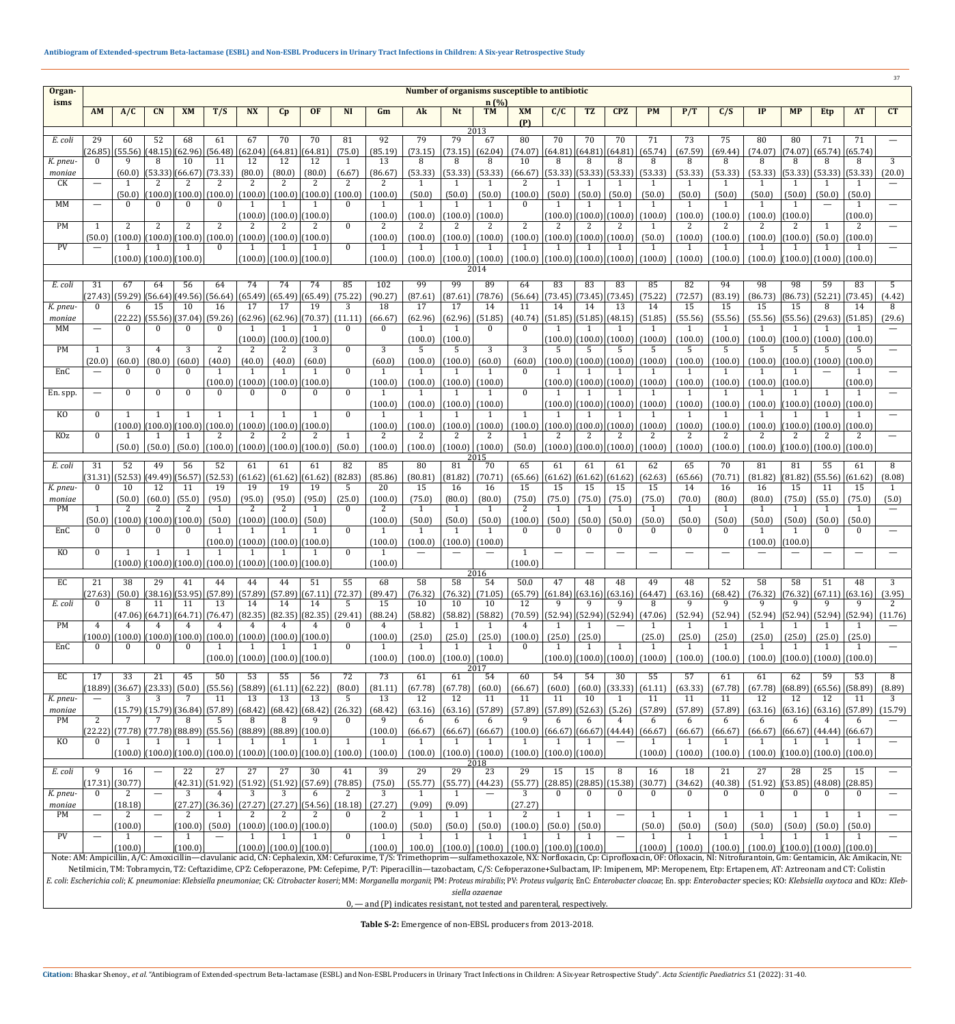| Organ-                                                                                                                                                                                                                         | 37<br>Number of organisms susceptible to antibiotic |                                           |                                      |                              |                                                                                       |                                         |                               |                                                                                           |                        |                                                                     |                         |                           |                                                     |                                                                         |                               |                          |                                    |                                                                                                                             |                                                                                                                                                                                                                                |                           |               |                         |                                         |                           |             |
|--------------------------------------------------------------------------------------------------------------------------------------------------------------------------------------------------------------------------------|-----------------------------------------------------|-------------------------------------------|--------------------------------------|------------------------------|---------------------------------------------------------------------------------------|-----------------------------------------|-------------------------------|-------------------------------------------------------------------------------------------|------------------------|---------------------------------------------------------------------|-------------------------|---------------------------|-----------------------------------------------------|-------------------------------------------------------------------------|-------------------------------|--------------------------|------------------------------------|-----------------------------------------------------------------------------------------------------------------------------|--------------------------------------------------------------------------------------------------------------------------------------------------------------------------------------------------------------------------------|---------------------------|---------------|-------------------------|-----------------------------------------|---------------------------|-------------|
| isms                                                                                                                                                                                                                           |                                                     |                                           |                                      |                              |                                                                                       |                                         |                               |                                                                                           |                        |                                                                     |                         |                           | $n(\%)$                                             |                                                                         |                               |                          |                                    |                                                                                                                             |                                                                                                                                                                                                                                |                           |               |                         |                                         |                           |             |
|                                                                                                                                                                                                                                | <b>AM</b>                                           | A/C                                       | CN                                   | <b>XM</b>                    | T/S                                                                                   | <b>NX</b>                               | Cp                            | <b>OF</b>                                                                                 | <b>NI</b>              | Gm                                                                  | Ak                      | <b>Nt</b>                 | <b>TM</b>                                           | <b>XM</b><br>(P)                                                        | C/C                           | <b>TZ</b>                | <b>CPZ</b>                         | <b>PM</b>                                                                                                                   | P/T                                                                                                                                                                                                                            | C/S                       | IP            | <b>MP</b>               | <b>Etp</b>                              | <b>AT</b>                 | CT          |
| E. coli                                                                                                                                                                                                                        | 29                                                  | 60                                        | 52                                   | 68                           | 61                                                                                    | 67                                      | 70                            | 70                                                                                        | 81                     | 92                                                                  | 79                      | 79                        | 2013<br>67                                          | 80                                                                      | 70                            | 70                       | 70                                 | 71                                                                                                                          | 73                                                                                                                                                                                                                             | 75                        | 80            | 80                      | 71                                      | 71                        |             |
|                                                                                                                                                                                                                                | (26.85)                                             |                                           | $(55.56)$ $(48.15)$ $(62.96)$        |                              | (56.48)                                                                               | (62.04)                                 | (64.81)                       | (64.81)                                                                                   | (75.0)                 | (85.19)                                                             | (73.15)                 | (73.15)                   | (62.04)                                             | (74.07)                                                                 |                               |                          | $(64.81)$ $(64.81)$ $(64.81)$      | (65.74)                                                                                                                     | (67.59)                                                                                                                                                                                                                        | (69.44)                   | (74.07)       |                         | $(74.07)$ (65.74) (65.74)               |                           |             |
| K. pneu-<br>moniae                                                                                                                                                                                                             | $\Omega$                                            | 9<br>(60.0)                               | 8<br>$\vert(53.33)\vert(66.67)\vert$ | 10                           | 11<br>(73.33)                                                                         | 12<br>(80.0)                            | 12<br>(80.0)                  | 12<br>(80.0)                                                                              | $\mathbf{1}$<br>(6.67) | 13<br>(86.67)                                                       | 8<br>(53.33)            | 8<br>(53.33)              | 8<br>(53.33)                                        | 10<br>(66.67)                                                           | 8                             | 8                        | 8<br>$(53.33)$ $(53.33)$ $(53.33)$ | 8<br>(53.33)                                                                                                                | 8<br>(53.33)                                                                                                                                                                                                                   | 8<br>(53.33)              | 8<br>(53.33)  | 8                       | 8<br>$(53.33)$ (53.33)                  | 8<br>(53.33)              | 3<br>(20.0) |
| CK                                                                                                                                                                                                                             |                                                     |                                           | 2                                    |                              |                                                                                       | 2                                       |                               |                                                                                           |                        | $\mathcal{L}$                                                       |                         |                           |                                                     | 2                                                                       |                               |                          |                                    |                                                                                                                             | -1                                                                                                                                                                                                                             | $\mathbf{1}$              |               |                         |                                         |                           |             |
| MM                                                                                                                                                                                                                             |                                                     | (50.0)<br>$\Omega$                        | $\Omega$                             | (100.0) (100.0) <br>$\Omega$ | (100.0)<br>$\Omega$                                                                   | (100.0)                                 |                               | $(100.0)$ $(100.0)$                                                                       | (100.0)<br>$\Omega$    | (100.0)                                                             | (50.0)<br>1             | (50.0)<br>$\overline{1}$  | (50.0)<br>-1                                        | (100.0)<br>$\Omega$                                                     | (50.0)                        | (50.0)<br>$\mathbf{1}$   | (50.0)                             | (50.0)<br>1                                                                                                                 | (50.0)<br>$\overline{1}$                                                                                                                                                                                                       | (50.0)<br>$\overline{1}$  | (50.0)        | (50.0)<br>$\mathbf{1}$  | (50.0)                                  | (50.0)<br>$\mathbf{1}$    |             |
|                                                                                                                                                                                                                                |                                                     |                                           |                                      |                              |                                                                                       |                                         | $(100.0)$ $(100.0)$ $(100.0)$ |                                                                                           |                        | (100.0)                                                             | (100.0)                 | (100.0)                   | (100.0)                                             |                                                                         |                               | (100.0) (100.0)          | (100.0)                            | (100.0)                                                                                                                     | (100.0)                                                                                                                                                                                                                        | (100.0)                   | (100.0)       | (100.0)                 |                                         | (100.0)                   |             |
| <b>PM</b>                                                                                                                                                                                                                      | 1<br>(50.0)                                         | 2                                         | 2                                    | 2                            | 2<br>$(100.0)$ $(100.0)$ $(100.0)$ $(100.0)$ $(100.0)$ $(100.0)$ $(100.0)$ $(100.0)$  | 2                                       |                               | 2                                                                                         | $\mathbf{0}$           | 2<br>(100.0)                                                        | 2<br>(100.0)            | 2<br>(100.0)              | 2<br>(100.0)                                        | 2<br>(100.0)                                                            | 2                             | 2<br>$(100.0)$ $(100.0)$ | 2<br>(100.0)                       | $\mathbf{1}$<br>(50.0)                                                                                                      | 2<br>(100.0)                                                                                                                                                                                                                   | (100.0)                   | 2<br>(100.0)  | 2<br>(100.0)            | $\overline{1}$                          | 2<br>$(50.0)$ $(100.0)$   |             |
| PV                                                                                                                                                                                                                             |                                                     |                                           |                                      |                              | $\Omega$                                                                              |                                         |                               |                                                                                           | $\Omega$               | $\mathbf{1}$                                                        | 1                       |                           | -1                                                  | $\overline{1}$                                                          | -1                            |                          |                                    | -1                                                                                                                          | $\mathbf{1}$                                                                                                                                                                                                                   | -1                        |               | 1                       |                                         | -1                        |             |
|                                                                                                                                                                                                                                |                                                     |                                           | $(100.0)$ $(100.0)$ $(100.0)$        |                              |                                                                                       |                                         | $(100.0)$ $(100.0)$ $(100.0)$ |                                                                                           |                        | (100.0)                                                             | (100.0)                 |                           | $(100.0)$ $(100.0)$<br>2014                         |                                                                         |                               |                          |                                    | $(100.0)$ $(100.0)$ $(100.0)$ $(100.0)$ $(100.0)$                                                                           | (100.0)                                                                                                                                                                                                                        | (100.0)                   | (100.0)       |                         | (100.0) (100.0) (100.0)                 |                           |             |
| E. coli                                                                                                                                                                                                                        | 31                                                  | 67                                        | 64                                   | 56                           | 64                                                                                    | 74                                      | 74                            | 74                                                                                        | 85                     | 102                                                                 | 99                      | 99                        | 89                                                  | 64                                                                      | 83                            | 83                       | 83                                 | 85                                                                                                                          | 82                                                                                                                                                                                                                             | 94                        | 98            | 98                      | 59                                      | 83                        | 5           |
|                                                                                                                                                                                                                                | (27.43)                                             | (59.29)                                   | (56.64)                              | (49.56)                      | (56.64)                                                                               | (65.49)                                 | (65.49)                       | (65.49)                                                                                   | (75.22)                | (90.27)                                                             | (87.61)                 | (87.61)                   | (78.76)                                             | (56.64)                                                                 |                               | $(73.45)$ (73.45)        | (73.45)                            | (75.22)                                                                                                                     | (72.57)                                                                                                                                                                                                                        | (83.19)                   | (86.73)       | (86.73)                 | (52.21)                                 | (73.45)                   | (4.42)      |
| K. pneu-<br>moniae                                                                                                                                                                                                             | $\theta$                                            | 6<br>(22.22)                              | 15<br>(55.56)                        | 10<br>(37.04)                | 16<br>(59.26)                                                                         | 17<br>(62.96)                           | 17                            | 19<br>$ (62.96)$ $ (70.37) $                                                              | 3<br>(11.11)           | 18<br>(66.67)                                                       | 17<br>(62.96)           | 17<br>(62.96)             | 14<br>(51.85)                                       | 11<br>(40.74)                                                           | 14                            | 14                       | 13                                 | 14<br>$(51.85)$ $(51.85)$ $(48.15)$ $(51.85)$                                                                               | 15<br>(55.56)                                                                                                                                                                                                                  | 15<br>(55.56)             | 15<br>(55.56) | 15<br>(55.56)           | 8<br>(29.63)(51.85)                     | 14                        | 8<br>(29.6) |
| MM                                                                                                                                                                                                                             |                                                     | $\Omega$                                  | $\mathbf{0}$                         | $\mathbf{0}$                 | $\Omega$                                                                              |                                         |                               |                                                                                           | $\mathbf{0}$           | $\Omega$                                                            | 1                       | $\mathbf{1}$              | $\mathbf{0}$                                        | $\theta$                                                                | $\mathbf{1}$                  |                          |                                    | 1                                                                                                                           | -1                                                                                                                                                                                                                             | 1                         | $\mathbf{1}$  | -1                      |                                         | -1                        |             |
| <b>PM</b>                                                                                                                                                                                                                      | $\overline{1}$                                      | 3                                         | $\overline{4}$                       | 3                            | $\overline{2}$                                                                        | 2                                       | $(100.0)$ $(100.0)$ $(100.0)$ | 3                                                                                         | $\mathbf{0}$           | 3                                                                   | (100.0)<br>.5           | (100.0)<br>.5             | 3                                                   | 3                                                                       | 5                             | (100.0) (100.0) <br>.5   | (100.0)<br>5                       | (100.0)<br>.5                                                                                                               | (100.0)<br>.5                                                                                                                                                                                                                  | (100.0)<br>5              | (100.0)<br>5  | (100.0)<br>5            | (100.0)<br>.5                           | (100.0)<br>5              |             |
|                                                                                                                                                                                                                                | (20.0)                                              | (60.0)                                    | (80.0)                               | (60.0)                       | (40.0)                                                                                | (40.0)                                  | (40.0)                        | (60.0)                                                                                    |                        | (60.0)                                                              | (100.0)                 | (100.0)                   | (60.0)                                              | (60.0)                                                                  |                               | $(100.0)$ $(100.0)$      | (100.0)                            | (100.0)                                                                                                                     | (100.0)                                                                                                                                                                                                                        | (100.0)                   | (100.0)       | (100.0)                 | (100.0)                                 | (100.0)                   |             |
| EnC                                                                                                                                                                                                                            |                                                     | $\Omega$                                  | $\Omega$                             | $\Omega$                     | $\mathbf{1}$                                                                          | $(100.0)$ $(100.0)$ $(100.0)$ $(100.0)$ | $\mathbf{1}$                  | -1                                                                                        | $\Omega$               | $\overline{1}$<br>(100.0)                                           | $\mathbf{1}$<br>(100.0) | $\overline{1}$<br>(100.0) | -1<br>(100.0)                                       | $\Omega$                                                                |                               |                          |                                    | $\mathbf{1}$<br>$(100.0)$ $(100.0)$ $(100.0)$ $(100.0)$                                                                     | $\mathbf{1}$<br>(100.0)                                                                                                                                                                                                        | $\mathbf{1}$<br>(100.0)   | (100.0)       | $\mathbf{1}$<br>(100.0) |                                         | $\mathbf{1}$<br>(100.0)   |             |
| En. spp.                                                                                                                                                                                                                       |                                                     | $\Omega$                                  | $\Omega$                             | $\theta$                     | $\Omega$                                                                              | $\Omega$                                |                               | $\bf{0}$                                                                                  | $\mathbf{0}$           |                                                                     |                         |                           | -1                                                  | $\theta$                                                                |                               |                          |                                    |                                                                                                                             |                                                                                                                                                                                                                                |                           |               |                         |                                         | $\mathbf{1}$              |             |
| KO.                                                                                                                                                                                                                            | $\Omega$                                            | $\mathbf{1}$                              | $\mathbf{1}$                         | $\mathbf{1}$                 | $\mathbf{1}$                                                                          |                                         |                               | $\mathbf{1}$                                                                              | $\Omega$               | (100.0)<br>$\mathbf{1}$                                             | (100.0)                 |                           | $(100.0)$ (100.0)<br>-1                             | $\overline{1}$                                                          |                               | -1                       |                                    | (100.0)   (100.0)   (100.0)   (100.0)                                                                                       | (100.0)                                                                                                                                                                                                                        | (100.0)<br>$\overline{1}$ | (100.0)       |                         | $(100.0)$ $(100.0)$ $(100.0)$           | $\mathbf{1}$              |             |
|                                                                                                                                                                                                                                |                                                     |                                           |                                      |                              | $(100.0)$ $(100.0)$ $(100.0)$ $(100.0)$                                               | (100.0) (100.0) (100.0)                 |                               |                                                                                           |                        | (100.0)                                                             | (100.0)                 | (100.0)                   | (100.0)                                             | (100.0)                                                                 |                               |                          | $(100.0)$ $(100.0)$ $(100.0)$      | (100.0)                                                                                                                     | (100.0)                                                                                                                                                                                                                        | (100.0)                   | (100.0)       |                         | $(100.0)$ $(100.0)$ $(100.0)$           |                           |             |
| KOz                                                                                                                                                                                                                            | $\theta$                                            | (50.0)                                    | (50.0)                               | (50.0)                       |                                                                                       | (100.0)   (100.0)   (100.0)   (100.0)   |                               |                                                                                           | $\mathbf{1}$<br>(50.0) | (100.0)                                                             | 2<br>(100.0)            |                           | $(100.0)$ (100.0)                                   | (50.0)                                                                  |                               |                          |                                    | $(100.0)$ $(100.0)$ $(100.0)$ $(100.0)$                                                                                     | 2<br>(100.0)                                                                                                                                                                                                                   | (100.0)                   | (100.0)       |                         | $(100.0)$ $(100.0)$ $(100.0)$           |                           |             |
| E. coli                                                                                                                                                                                                                        | 31                                                  | 52                                        | 49                                   | 56                           | 52                                                                                    | 61                                      | 61                            | 61                                                                                        | 82                     | 85                                                                  | 80                      | $\overline{81}$           | 2015<br>70                                          | 65                                                                      | 61                            | 61                       | 61                                 | 62                                                                                                                          | 65                                                                                                                                                                                                                             | 70                        | 81            | 81                      | 55                                      | 61                        | 8           |
|                                                                                                                                                                                                                                | (31.31)                                             |                                           | $(52.53)$ $(49.49)$ $(56.57)$        |                              |                                                                                       | $(52.53)$ $(61.62)$ $(61.62)$ $(61.62)$ |                               |                                                                                           | (82.83)                | (85.86)                                                             | (80.81)                 | (81.82)                   | (70.71)                                             | (65.66)                                                                 |                               |                          | $(61.62)$ $(61.62)$ $(61.62)$      | (62.63)                                                                                                                     | (65.66)                                                                                                                                                                                                                        | (70.71)                   | (81.82)       | (81.82)                 | $(55.56)$ (61.62)                       |                           | (8.08)      |
| K. pneu-<br>moniae                                                                                                                                                                                                             |                                                     | 10<br>(50.0)                              | 12<br>(60.0)                         | 11<br>(55.0)                 | 19<br>(95.0)                                                                          | 19<br>(95.0)                            | 19<br>(95.0)                  | 19<br>(95.0)                                                                              | .5<br>(25.0)           | 20<br>(100.0)                                                       | 15<br>(75.0)            | 16<br>(80.0)              | 16<br>(80.0)                                        | 15<br>(75.0)                                                            | 15<br>(75.0)                  | 15<br>(75.0)             | 15<br>(75.0)                       | 15<br>(75.0)                                                                                                                | 14<br>(70.0)                                                                                                                                                                                                                   | 16<br>(80.0)              | 16<br>(80.0)  | 15<br>(75.0)            | 11<br>(55.0)                            | 15<br>(75.0)              | (5.0)       |
| PM                                                                                                                                                                                                                             |                                                     |                                           |                                      |                              |                                                                                       |                                         |                               |                                                                                           |                        |                                                                     |                         |                           |                                                     |                                                                         |                               |                          |                                    |                                                                                                                             |                                                                                                                                                                                                                                |                           |               |                         |                                         |                           |             |
| EnC                                                                                                                                                                                                                            | (50.0)                                              | $(100.0)$ $(100.0)$ $(100.0)$<br>$\Omega$ | $\Omega$                             | $\Omega$                     | 1                                                                                     | $(50.0)$ $(100.0)$ $(100.0)$ $(50.0)$   |                               |                                                                                           | $\mathbf{0}$           | (100.0)<br>-1                                                       | (50.0)<br>-1            | (50.0)<br>-1              | (50.0)<br>$\overline{1}$                            | (100.0)<br>$\Omega$                                                     | (50.0)<br>$\Omega$            | (50.0)<br>$\Omega$       | (50.0)                             | (50.0)<br>$\Omega$                                                                                                          | (50.0)<br>$\theta$                                                                                                                                                                                                             | (50.0)                    | (50.0)        | (50.0)                  | (50.0)<br>0                             | (50.0)<br>$\Omega$        |             |
|                                                                                                                                                                                                                                |                                                     |                                           |                                      |                              |                                                                                       | (100.0)   (100.0)   (100.0)   (100.0)   |                               |                                                                                           | $\Omega$               | (100.0)                                                             | (100.0)                 | (100.0)                   | (100.0)                                             |                                                                         |                               |                          |                                    |                                                                                                                             |                                                                                                                                                                                                                                |                           | (100.0)       | (100.0)                 |                                         |                           |             |
| KO                                                                                                                                                                                                                             | $\Omega$                                            | $\mathbf{1}$                              | $\mathbf{1}$                         | 1                            | $\mathbf{1}$<br>$(100.0)$ $(100.0)$ $(100.0)$ $(100.0)$ $(100.0)$ $(100.0)$ $(100.0)$ |                                         | -1                            | -1                                                                                        |                        | -1<br>(100.0)                                                       |                         |                           |                                                     | $\overline{1}$<br>(100.0)                                               |                               |                          |                                    |                                                                                                                             |                                                                                                                                                                                                                                |                           |               |                         |                                         |                           |             |
| EC                                                                                                                                                                                                                             | 21                                                  | 38                                        | 29                                   | 41                           | 44                                                                                    | 44                                      | 44                            | 51                                                                                        | 55                     | 68                                                                  | $\overline{58}$         | $\overline{58}$           | 2016<br>54                                          | 50.0                                                                    | 47                            | 48                       | 48                                 | 49                                                                                                                          | 48                                                                                                                                                                                                                             | 52                        | 58            | 58                      | 51                                      | 48                        | 3           |
|                                                                                                                                                                                                                                | (27.63)                                             |                                           |                                      |                              |                                                                                       |                                         |                               | $(50.0)$ $(38.16)$ $(53.95)$ $(57.89)$ $(57.89)$ $(57.89)$ $(67.11)$ $(72.37)$            |                        | (89.47)                                                             | (76.32)                 |                           | $(76.32)$ (71.05)                                   | (65.79)                                                                 |                               |                          |                                    | $ (61.84)   (63.16)   (63.16)   (64.47)$                                                                                    | (63.16)                                                                                                                                                                                                                        | (68.42)                   |               |                         | $(76.32)$ $(76.32)$ $(67.11)$ $(63.16)$ |                           | (3.95)      |
| E. coli                                                                                                                                                                                                                        |                                                     | 8                                         | 11                                   | 11                           | 13                                                                                    | 14                                      | 14                            | 14<br>$(47.06)$ $(64.71)$ $(64.71)$ $(76.47)$ $(82.35)$ $(82.35)$ $(82.35)$ $(29.41)$     | .5                     | 15<br>(88.24)                                                       | 10<br>(58.82)           | 10<br>(58.82)             | 10<br>(58.82)                                       | 12<br>(70.59)                                                           | 9                             | 9                        |                                    | 8<br>$\left  \frac{(52.94)}{(52.94)} \right  \left  \frac{(52.94)}{(52.94)} \right  \left  \frac{(47.06)}{(47.06)} \right $ | $\mathbf{Q}$<br>(52.94)                                                                                                                                                                                                        | (52.94)                   | (52.94)       |                         |                                         | (52.94)  (52.94)  (52.94) | (11.76)     |
| <b>PM</b>                                                                                                                                                                                                                      | 4                                                   |                                           |                                      | 4                            | 4                                                                                     |                                         |                               |                                                                                           | $\theta$               | 4                                                                   | -1                      | $\overline{1}$            |                                                     | 4                                                                       |                               |                          |                                    |                                                                                                                             |                                                                                                                                                                                                                                |                           |               |                         |                                         |                           |             |
| EnC                                                                                                                                                                                                                            | (100.0)<br>$\left( \right)$                         | (100.0)<br>$\Omega$                       | $\Omega$                             | $\bf{0}$                     | $ (100.0) (100.0) (100.0) (100.0) (100.0) (100.0)$<br>1                               |                                         |                               | -1                                                                                        | $\mathbf{0}$           | (100.0)<br>1                                                        | (25.0)<br>1             | (25.0)<br>$\overline{1}$  | (25.0)<br>$\overline{1}$                            | (100.0)<br>$\theta$                                                     | (25.0)<br>-1                  | (25.0)<br>1              | 1                                  | (25.0)<br>1                                                                                                                 | (25.0)<br>$\mathbf{1}$                                                                                                                                                                                                         | (25.0)<br>1               | (25.0)<br>-1  | (25.0)<br>1             | (25.0)<br>-1                            | (25.0)<br>-1              |             |
|                                                                                                                                                                                                                                |                                                     |                                           |                                      |                              |                                                                                       | (100.0)   (100.0)   (100.0)   (100.0)   |                               |                                                                                           |                        | (100.0)                                                             | (100.0)                 |                           | $(100.0)$ (100.0)                                   |                                                                         |                               |                          |                                    | $(100.0)$ $(100.0)$ $(100.0)$ $(100.0)$                                                                                     | (100.0)                                                                                                                                                                                                                        | (100.0)                   | (100.0)       |                         | (100.0)  (100.0)  (100.0)               |                           |             |
| EC                                                                                                                                                                                                                             | 17                                                  | 33                                        | 21                                   | 45                           | 50                                                                                    | 53                                      | 55                            | 56                                                                                        | 72                     | 73                                                                  | 61                      | 61                        | 2017<br>54                                          | 60                                                                      | 54                            | 54                       | 30                                 | 55                                                                                                                          | 57                                                                                                                                                                                                                             | 61                        | 61            | 62                      | 59                                      | 53                        | 8           |
| K. pneu-                                                                                                                                                                                                                       | (18.89)                                             | $(36.67)$ (23.33)<br>3                    | 3                                    | (50.0)<br>7                  | $(55.56)$ (58.89)<br>11                                                               | 13                                      | (61.11)<br>13                 | (62.22)<br>13                                                                             | (80.0)<br>-5           | (81.11)<br>13                                                       | (67.78)<br>12           | (67.78)<br>12             | (60.0)<br>11                                        | (66.67)<br>11                                                           | (60.0)<br>11                  | (60.0)<br>10             | (33.33)                            | (61.11)<br>11                                                                                                               | (63.33)<br>11                                                                                                                                                                                                                  | (67.78)<br>11             | (67.78)<br>12 | (68.89)<br>12           | (65.56)<br>12                           | (58.89)<br>11             | (8.89)<br>3 |
| moniae                                                                                                                                                                                                                         |                                                     |                                           |                                      |                              |                                                                                       |                                         |                               | $(15.79)$ $(15.79)$ $(36.84)$ $(57.89)$ $(68.42)$ $(68.42)$ $(68.42)$ $(26.32)$           |                        | (68.42)                                                             | (63.16)                 | (63.16)                   | (57.89)                                             | (57.89)                                                                 |                               | $(57.89)$ (52.63)        | (5.26)                             | (57.89)                                                                                                                     | (57.89)                                                                                                                                                                                                                        | (57.89)                   | (63.16)       |                         | (63.16) (63.16) (57.89)                 |                           | (15.79)     |
| <b>PM</b>                                                                                                                                                                                                                      | 2                                                   |                                           |                                      | 8                            | $(22.22)$ $(77.78)$ $(77.78)$ $(88.89)$ $(55.56)$ $(88.89)$ $(88.89)$ $(100.0)$       | 8                                       |                               | 9                                                                                         |                        | 9<br>(100.0)                                                        | 6<br>(66.67)            | 6                         | 6<br> (66.67) (66.67)                               | 9<br>(100.0)                                                            | 6<br> (66.67) (66.67) (44.44) | 6                        | 4                                  | 6<br>(66.67)                                                                                                                | 6<br>(66.67)                                                                                                                                                                                                                   | 6<br>(66.67)              | 6<br>(66.67)  |                         | (66.67)  (44.44)  (66.67)               |                           |             |
| K <sub>O</sub>                                                                                                                                                                                                                 |                                                     |                                           |                                      |                              |                                                                                       |                                         |                               |                                                                                           | $\mathbf{1}$           | $\overline{1}$                                                      | $\mathbf{1}$            | $\mathbf{1}$              |                                                     | $\overline{1}$                                                          |                               |                          |                                    | $\overline{1}$                                                                                                              | $\mathbf{1}$                                                                                                                                                                                                                   | $\overline{1}$            |               |                         |                                         |                           |             |
|                                                                                                                                                                                                                                |                                                     |                                           |                                      |                              |                                                                                       |                                         |                               | $(100.0)$ $(100.0)$ $(100.0)$ $(100.0)$ $(100.0)$ $(100.0)$ $(100.0)$ $(100.0)$ $(100.0)$ |                        | (100.0)                                                             | (100.0)                 |                           | 2018                                                | $ (100.0)  (100.0)  (100.0)  (100.0)  (100.0)$                          |                               |                          |                                    | (100.0)                                                                                                                     | (100.0)                                                                                                                                                                                                                        | (100.0)                   | (100.0)       |                         | $(100.0)$ $(100.0)$ $(100.0)$           |                           |             |
| E. coli                                                                                                                                                                                                                        | (17.31)                                             | 16<br>(30.77)                             | $\overline{\phantom{m}}$             | 22                           | 27                                                                                    | 27                                      | 27                            | 30<br>$(42.31)$ $(51.92)$ $(51.92)$ $(51.92)$ $(57.69)$ $(78.85)$                         | 41                     | 39<br>(75.0)                                                        | 29<br>(55.77)           | $\overline{29}$           | 23<br>$\left  \left( 55.77 \right) \right $ (44.23) | 29<br>(55.77)                                                           | 15                            | 15                       | 8                                  | 16<br>$(28.85)$ $(28.85)$ $(15.38)$ $(30.77)$                                                                               | 18<br>(34.62)                                                                                                                                                                                                                  | 21<br>(40.38)             | 27<br>(51.92) | 28                      | 25<br>$ (53.85) $ (48.08) $ (28.85)$    | 15                        |             |
| K. pneu-                                                                                                                                                                                                                       |                                                     | 2                                         |                                      | 3                            | 4                                                                                     | 3                                       | 3                             | 6                                                                                         | 2                      | 3                                                                   | 1                       | 1                         |                                                     | 3                                                                       | $\Omega$                      | $\mathbf{0}$             |                                    | $\Omega$                                                                                                                    | $\theta$                                                                                                                                                                                                                       | $\Omega$                  | $\Omega$      | $\Omega$                | $\Omega$                                | 0                         |             |
| moniae<br>PM                                                                                                                                                                                                                   | $\hspace{0.05cm}$                                   | (18.18)                                   | $\equiv$                             | (27.27)                      |                                                                                       | 2                                       |                               | $(36.36)$ $(27.27)$ $(27.27)$ $(54.56)$ $(18.18)$<br>2                                    | $\theta$               | (27.27)<br>2                                                        | (9.09)<br>1             | (9.09)<br>$\overline{1}$  | 1                                                   | (27.27)<br>2                                                            | 1                             | $\mathbf{1}$             | $\overline{\phantom{0}}$           | 1                                                                                                                           | $\mathbf{1}$                                                                                                                                                                                                                   | 1                         |               |                         | $\overline{1}$                          | 1                         |             |
|                                                                                                                                                                                                                                |                                                     | (100.0)                                   |                                      | (100.0)                      | (50.0)                                                                                | (100.0) (100.0) (100.0)                 |                               |                                                                                           |                        | (100.0)                                                             | (50.0)                  | (50.0)                    | (50.0)                                              | (100.0)                                                                 | (50.0)                        | (50.0)                   |                                    | (50.0)                                                                                                                      | (50.0)                                                                                                                                                                                                                         | (50.0)                    | (50.0)        | (50.0)                  | (50.0)                                  | (50.0)                    |             |
| PV                                                                                                                                                                                                                             |                                                     | (100.0)                                   | $\overline{\phantom{m}}$             | (100.0)                      | $\overline{\phantom{m}}$                                                              | (100.0) (100.0) (100.0)                 |                               |                                                                                           | $\mathbf{0}$           | 1<br>(100.0)                                                        | 1                       | $\overline{1}$            | $\overline{1}$                                      | $\overline{1}$<br>100.0) $ (100.0)  (100.0)  (100.0)  (100.0)  (100.0)$ |                               | $\mathbf{1}$             |                                    | $\overline{1}$                                                                                                              | $\mathbf{1}$<br>$(100.0)   (100.0)   (100.0)   (100.0)   (100.0)   (100.0)   (100.0)$                                                                                                                                          | $\overline{1}$            |               |                         |                                         | $\mathbf{1}$              |             |
|                                                                                                                                                                                                                                |                                                     |                                           |                                      |                              |                                                                                       |                                         |                               |                                                                                           |                        |                                                                     |                         |                           |                                                     |                                                                         |                               |                          |                                    |                                                                                                                             | Note: AM: Ampicillin, A/C: Amoxicillin-clavulanic acid, CN: Cephalexin, XM: Cefuroxime, T/S: Trimethoprim-sulfamethoxazole, NX: Norfloxacin, Cp: Ciprofloxacin, OF: Ofloxacin, NI: Nitrofurantoin, Gm: Gentamicin, Ak: Amikaci |                           |               |                         |                                         |                           |             |
| E. coli: Escherichia coli; K. pneumoniae: Klebsiella pneumoniae; CK: Citrobacter koseri; MM: Morganella morganii; PM: Proteus mirabilis; PV: Proteus vulgaris; EnC: Enterobacter cloacae; En. spp: Enterobacter species; KO: K |                                                     |                                           |                                      |                              |                                                                                       |                                         |                               |                                                                                           |                        |                                                                     |                         |                           |                                                     |                                                                         |                               |                          |                                    |                                                                                                                             | Netilmicin, TM: Tobramycin, TZ: Ceftazidime, CPZ: Cefoperazone, PM: Cefepime, P/T: Piperacillin—tazobactam, C/S: Cefoperazone+Sulbactam, IP: Imipenem, MP: Meropenem, Etp: Ertapenem, AT: Aztreonam and CT: Colistin           |                           |               |                         |                                         |                           |             |
|                                                                                                                                                                                                                                |                                                     |                                           |                                      |                              |                                                                                       |                                         |                               |                                                                                           |                        | 0 and (D) indicates resistant not totad and paranteral respectively |                         |                           | siella ozaenae                                      |                                                                         |                               |                          |                                    |                                                                                                                             |                                                                                                                                                                                                                                |                           |               |                         |                                         |                           |             |

0, — and (P) indicates resistant, not tested and parenteral, respectively.

**Table S-2:** Emergence of non-EBSL producers from 2013-2018.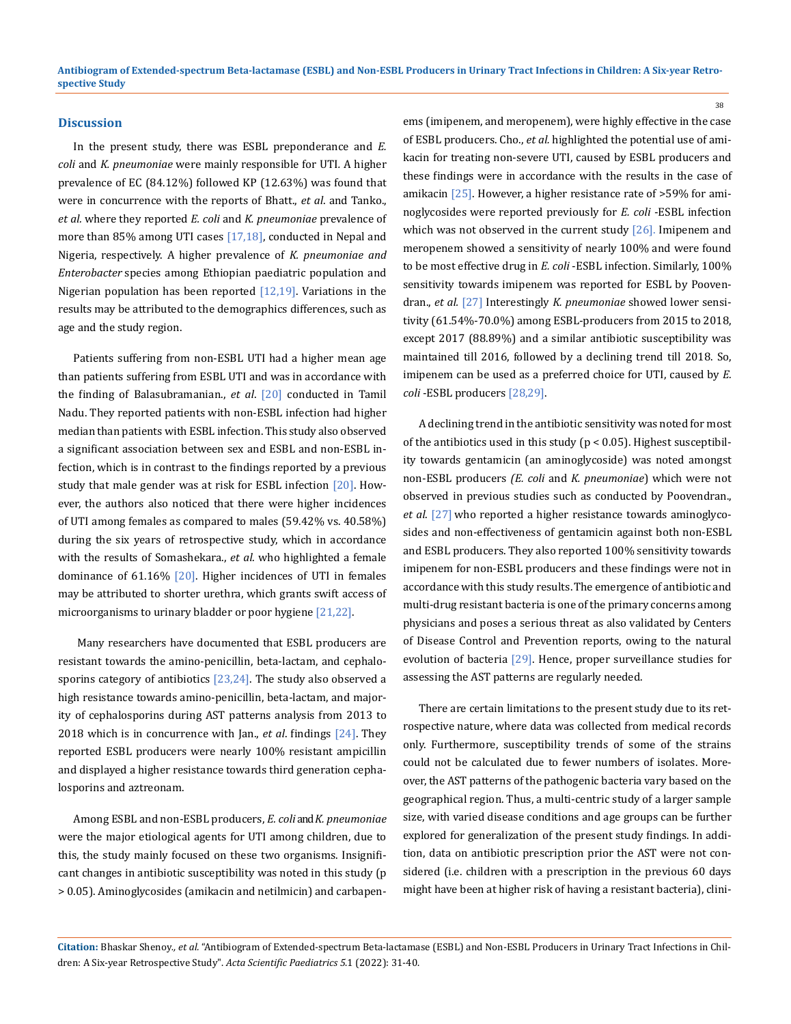#### **Discussion**

In the present study, there was ESBL preponderance and *E. coli* and *K. pneumoniae* were mainly responsible for UTI*.* A higher prevalence of EC (84.12%) followed KP (12.63%) was found that were in concurrence with the reports of Bhatt., *et al*. and Tanko., *et al.* where they reported *E. coli* and *K. pneumoniae* prevalence of more than 85% among UTI cases [17,18], conducted in Nepal and Nigeria, respectively. A higher prevalence of *K. pneumoniae and Enterobacter* species among Ethiopian paediatric population and Nigerian population has been reported  $[12,19]$ . Variations in the results may be attributed to the demographics differences, such as age and the study region.

Patients suffering from non-ESBL UTI had a higher mean age than patients suffering from ESBL UTI and was in accordance with the finding of Balasubramanian., *et al*. [20] conducted in Tamil Nadu. They reported patients with non-ESBL infection had higher median than patients with ESBL infection. This study also observed a significant association between sex and ESBL and non-ESBL infection, which is in contrast to the findings reported by a previous study that male gender was at risk for ESBL infection [20]. However, the authors also noticed that there were higher incidences of UTI among females as compared to males (59.42% vs. 40.58%) during the six years of retrospective study, which in accordance with the results of Somashekara., *et al*. who highlighted a female dominance of 61.16% [20]. Higher incidences of UTI in females may be attributed to shorter urethra, which grants swift access of microorganisms to urinary bladder or poor hygiene [21,22].

 Many researchers have documented that ESBL producers are resistant towards the amino-penicillin, beta-lactam, and cephalosporins category of antibiotics  $[23,24]$ . The study also observed a high resistance towards amino-penicillin, beta-lactam, and majority of cephalosporins during AST patterns analysis from 2013 to 2018 which is in concurrence with Jan., *et al*. findings [24]. They reported ESBL producers were nearly 100% resistant ampicillin and displayed a higher resistance towards third generation cephalosporins and aztreonam.

Among ESBL and non-ESBL producers, *E. coli* and *K. pneumoniae* were the major etiological agents for UTI among children, due to this, the study mainly focused on these two organisms. Insignificant changes in antibiotic susceptibility was noted in this study (p > 0.05). Aminoglycosides (amikacin and netilmicin) and carbapenems (imipenem, and meropenem), were highly effective in the case of ESBL producers. Cho., *et al.* highlighted the potential use of amikacin for treating non-severe UTI, caused by ESBL producers and these findings were in accordance with the results in the case of amikacin [25]. However, a higher resistance rate of >59% for aminoglycosides were reported previously for *E. coli* -ESBL infection which was not observed in the current study  $[26]$ . Imipenem and meropenem showed a sensitivity of nearly 100% and were found to be most effective drug in *E. coli* -ESBL infection. Similarly, 100% sensitivity towards imipenem was reported for ESBL by Poovendran., *et al.* [27] Interestingly *K. pneumoniae* showed lower sensitivity (61.54%-70.0%) among ESBL-producers from 2015 to 2018, except 2017 (88.89%) and a similar antibiotic susceptibility was maintained till 2016, followed by a declining trend till 2018. So, imipenem can be used as a preferred choice for UTI, caused by *E. coli* -ESBL producers [28,29].

A declining trend in the antibiotic sensitivity was noted for most of the antibiotics used in this study (p < 0.05). Highest susceptibility towards gentamicin (an aminoglycoside) was noted amongst non-ESBL producers *(E. coli* and *K. pneumoniae*) which were not observed in previous studies such as conducted by Poovendran., *et al*. [27] who reported a higher resistance towards aminoglycosides and non-effectiveness of gentamicin against both non-ESBL and ESBL producers. They also reported 100% sensitivity towards imipenem for non-ESBL producers and these findings were not in accordance with this study results.The emergence of antibiotic and multi-drug resistant bacteria is one of the primary concerns among physicians and poses a serious threat as also validated by Centers of Disease Control and Prevention reports, owing to the natural evolution of bacteria [29]. Hence, proper surveillance studies for assessing the AST patterns are regularly needed.

There are certain limitations to the present study due to its retrospective nature, where data was collected from medical records only. Furthermore, susceptibility trends of some of the strains could not be calculated due to fewer numbers of isolates. Moreover, the AST patterns of the pathogenic bacteria vary based on the geographical region. Thus, a multi-centric study of a larger sample size, with varied disease conditions and age groups can be further explored for generalization of the present study findings. In addition, data on antibiotic prescription prior the AST were not considered (i.e. children with a prescription in the previous 60 days might have been at higher risk of having a resistant bacteria), clini-

**Citation:** Bhaskar Shenoy*., et al.* "Antibiogram of Extended-spectrum Beta-lactamase (ESBL) and Non-ESBL Producers in Urinary Tract Infections in Children: A Six-year Retrospective Study". *Acta Scientific Paediatrics 5*.1 (2022): 31-40.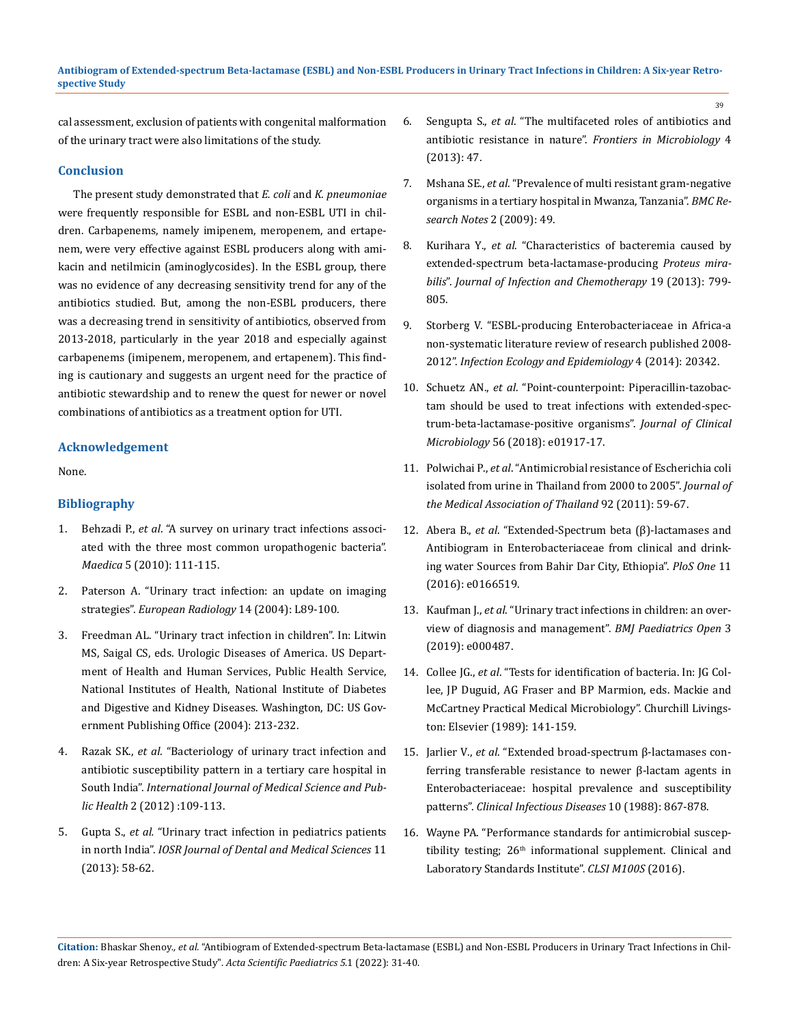#### **Antibiogram of Extended-spectrum Beta-lactamase (ESBL) and Non-ESBL Producers in Urinary Tract Infections in Children: A Six-year Retrospective Study**

cal assessment, exclusion of patients with congenital malformation of the urinary tract were also limitations of the study.

# **Conclusion**

The present study demonstrated that *E. coli* and *K. pneumoniae* were frequently responsible for ESBL and non-ESBL UTI in children. Carbapenems, namely imipenem, meropenem, and ertapenem, were very effective against ESBL producers along with amikacin and netilmicin (aminoglycosides). In the ESBL group, there was no evidence of any decreasing sensitivity trend for any of the antibiotics studied. But, among the non-ESBL producers, there was a decreasing trend in sensitivity of antibiotics, observed from 2013-2018, particularly in the year 2018 and especially against carbapenems (imipenem, meropenem, and ertapenem). This finding is cautionary and suggests an urgent need for the practice of antibiotic stewardship and to renew the quest for newer or novel combinations of antibiotics as a treatment option for UTI.

#### **Acknowledgement**

None.

# **Bibliography**

- 1. Behzadi P., *et al*[. "A survey on urinary tract infections associ](https://www.ncbi.nlm.nih.gov/pmc/articles/PMC3150015/)[ated with the three most common uropathogenic bacteria".](https://www.ncbi.nlm.nih.gov/pmc/articles/PMC3150015/)  *Maedica* [5 \(2010\): 111-115.](https://www.ncbi.nlm.nih.gov/pmc/articles/PMC3150015/)
- 2. [Paterson A. "Urinary tract infection: an update on imaging](https://pubmed.ncbi.nlm.nih.gov/14752575/)  strategies". *[European Radiology](https://pubmed.ncbi.nlm.nih.gov/14752575/)* 14 (2004): L89-100.
- 3. Freedman AL. "Urinary tract infection in children". In: Litwin MS, Saigal CS, eds. Urologic Diseases of America. US Department of Health and Human Services, Public Health Service, National Institutes of Health, National Institute of Diabetes and Digestive and Kidney Diseases. Washington, DC: US Government Publishing Office (2004): 213-232.
- 4. Razak SK., *et al*[. "Bacteriology of urinary tract infection and](https://www.ijmsph.com/fulltext/67-1348508821.pdf?1641185562)  [antibiotic susceptibility pattern in a tertiary care hospital in](https://www.ijmsph.com/fulltext/67-1348508821.pdf?1641185562)  South India". *[International Journal of Medical Science and](https://www.ijmsph.com/fulltext/67-1348508821.pdf?1641185562) Public Health* [2 \(2012\) :109-113.](https://www.ijmsph.com/fulltext/67-1348508821.pdf?1641185562)
- 5. Gupta S., *et al.* ["Urinary tract infection in pediatrics patients](https://www.iosrjournals.org/iosr-jdms/papers/Vol11-issue3/M01135862.pdf)  in north India". *[IOSR Journal of Dental and Medical Sciences](https://www.iosrjournals.org/iosr-jdms/papers/Vol11-issue3/M01135862.pdf)* 11 [\(2013\): 58-62.](https://www.iosrjournals.org/iosr-jdms/papers/Vol11-issue3/M01135862.pdf)
- 6. Sengupta S., *et al*[. "The multifaceted roles of antibiotics and](https://pubmed.ncbi.nlm.nih.gov/23487476/)  antibiotic resistance in nature". *[Frontiers in Microbiology](https://pubmed.ncbi.nlm.nih.gov/23487476/)* 4 [\(2013\): 47.](https://pubmed.ncbi.nlm.nih.gov/23487476/)
- 7. Mshana SE., *et al*[. "Prevalence of multi resistant gram-negative](https://pubmed.ncbi.nlm.nih.gov/19323805/)  [organisms in a tertiary hospital in Mwanza, Tanzania".](https://pubmed.ncbi.nlm.nih.gov/19323805/) *BMC Re[search Notes](https://pubmed.ncbi.nlm.nih.gov/19323805/)* 2 (2009): 49.
- 8. Kurihara Y., *et al*[. "Characteristics of bacteremia caused by](https://www.jiac-j.com/article/S1341-321X(13)70040-0/fulltext)  [extended-spectrum beta-lactamase-producing](https://www.jiac-j.com/article/S1341-321X(13)70040-0/fulltext) *Proteus mirabilis*". *[Journal of Infection and Chemotherapy](https://www.jiac-j.com/article/S1341-321X(13)70040-0/fulltext)* 19 (2013): 799- [805.](https://www.jiac-j.com/article/S1341-321X(13)70040-0/fulltext)
- 9. [Storberg V. "ESBL-producing Enterobacteriaceae in Africa-a](https://pubmed.ncbi.nlm.nih.gov/24765249/)  [non-systematic literature review of research published 2008-](https://pubmed.ncbi.nlm.nih.gov/24765249/) 2012". *[Infection Ecology and Epidemiology](https://pubmed.ncbi.nlm.nih.gov/24765249/)* 4 (2014): 20342.
- 10. Schuetz AN., *et al*[. "Point-counterpoint: Piperacillin-tazobac](https://pubmed.ncbi.nlm.nih.gov/29237787/)[tam should be used to treat infections with extended-spec](https://pubmed.ncbi.nlm.nih.gov/29237787/)[trum-beta-lactamase-positive organisms".](https://pubmed.ncbi.nlm.nih.gov/29237787/) *Journal of Clinical Microbiology* [56 \(2018\): e01917-17.](https://pubmed.ncbi.nlm.nih.gov/29237787/)
- 11. Polwichai P., *et al*[. "Antimicrobial resistance of Escherichia coli](https://pubmed.ncbi.nlm.nih.gov/21298846/)  [isolated from urine in Thailand from 2000 to 2005".](https://pubmed.ncbi.nlm.nih.gov/21298846/) *Journal of [the Medical Association of Thailand](https://pubmed.ncbi.nlm.nih.gov/21298846/)* 92 (2011): 59-67.
- 12. Abera B., *et al*. "[Extended-Spectrum beta \(β\)-lactamases and](https://pubmed.ncbi.nlm.nih.gov/27846254/)  [Antibiogram in Enterobacteriaceae from clinical and drink](https://pubmed.ncbi.nlm.nih.gov/27846254/)[ing water Sources from Bahir Dar City, Ethiopia".](https://pubmed.ncbi.nlm.nih.gov/27846254/) *PloS One* 11 [\(2016\): e0166519.](https://pubmed.ncbi.nlm.nih.gov/27846254/)
- 13. Kaufman J., *et al*[. "Urinary tract infections in children: an over](https://pubmed.ncbi.nlm.nih.gov/31646191/)[view of diagnosis and management".](https://pubmed.ncbi.nlm.nih.gov/31646191/) *BMJ Paediatrics Open* 3 [\(2019\): e000487.](https://pubmed.ncbi.nlm.nih.gov/31646191/)
- 14. Collee JG., *et al*. "Tests for identification of bacteria. In: JG Collee, JP Duguid, AG Fraser and BP Marmion, eds. Mackie and McCartney Practical Medical Microbiology". Churchill Livingston: Elsevier (1989): 141-159.
- 15. Jarlier V., *et al*. "[Extended broad-spectrum β-lactamases con](https://pubmed.ncbi.nlm.nih.gov/3263690/)[ferring transferable resistance to newer β-lactam agents in](https://pubmed.ncbi.nlm.nih.gov/3263690/)  [Enterobacteriaceae: hospital prevalence and susceptibility](https://pubmed.ncbi.nlm.nih.gov/3263690/)  patterns". *[Clinical Infectious Diseases](https://pubmed.ncbi.nlm.nih.gov/3263690/)* 10 (1988): 867-878.
- 16. [Wayne PA. "Performance standards for antimicrobial suscep](https://clsi.org/media/2663/m100ed29_sample.pdf)tibility testing;  $26<sup>th</sup>$  informational supplement. Clinical and [Laboratory Standards Institute".](https://clsi.org/media/2663/m100ed29_sample.pdf) *CLSI M100S* (2016).

**Citation:** Bhaskar Shenoy*., et al.* "Antibiogram of Extended-spectrum Beta-lactamase (ESBL) and Non-ESBL Producers in Urinary Tract Infections in Children: A Six-year Retrospective Study". *Acta Scientific Paediatrics 5*.1 (2022): 31-40.